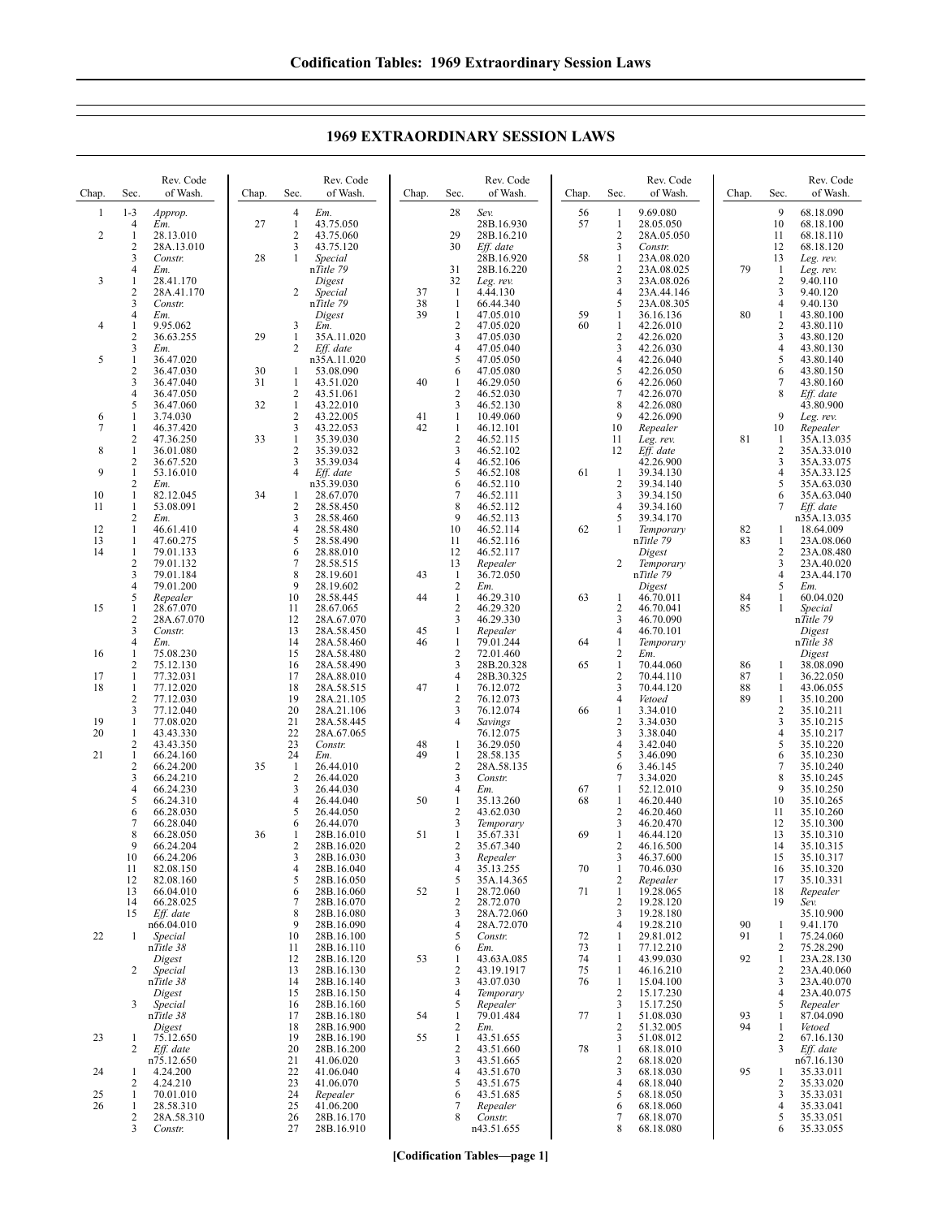| Chap.    | Sec.                           | Rev. Code<br>of Wash.   | Chap. | Sec.                    | Rev. Code<br>of Wash.    | Chap.    | Sec.                           | Rev. Code<br>of Wash.    | Chap.    | Sec.                       | Rev. Code<br>of Wash.    | Chap.    | Sec.                             | Rev. Code<br>of Wash.    |
|----------|--------------------------------|-------------------------|-------|-------------------------|--------------------------|----------|--------------------------------|--------------------------|----------|----------------------------|--------------------------|----------|----------------------------------|--------------------------|
| 1        | $1 - 3$                        | Approp.                 |       | 4                       | Em.                      |          | 28                             | Sev.                     | 56       | 1                          | 9.69.080                 |          | 9                                | 68.18.090                |
| 2        | 4<br>$\mathbf{1}$              | Em.<br>28.13.010        | 27    | $\mathbf{1}$<br>2       | 43.75.050<br>43.75.060   |          | 29                             | 28B.16.930<br>28B.16.210 | 57       | $\mathbf{1}$<br>$\sqrt{2}$ | 28.05.050<br>28A.05.050  |          | 10<br>11                         | 68.18.100<br>68.18.110   |
|          | $\overline{c}$                 | 28A.13.010              |       | 3                       | 43.75.120                |          | 30                             | Eff. date                |          | 3                          | Constr.                  |          | 12                               | 68.18.120                |
|          | 3                              | Constr.                 | 28    | $\mathbf{1}$            | Special                  |          |                                | 28B.16.920               | 58       | $\mathbf{1}$               | 23A.08.020               |          | 13                               | Leg. rev.                |
| 3        | 4<br>1                         | Em.<br>28.41.170        |       |                         | nTitle 79<br>Digest      |          | 31<br>32                       | 28B.16.220<br>Leg. rev.  |          | $\overline{2}$<br>3        | 23A.08.025<br>23A.08.026 | 79       | 1<br>$\sqrt{2}$                  | Leg. rev.<br>9.40.110    |
|          | 2                              | 28A.41.170              |       | 2                       | Special                  | 37       | -1                             | 4.44.130                 |          | 4                          | 23A.44.146               |          | 3                                | 9.40.120                 |
|          | 3<br>4                         | Constr.<br>Em.          |       |                         | nTitle 79<br>Digest      | 38<br>39 | $\mathbf{1}$<br>$\mathbf{1}$   | 66.44.340<br>47.05.010   | 59       | 5<br>1                     | 23A.08.305<br>36.16.136  | 80       | $\overline{4}$<br>$\mathbf{1}$   | 9.40.130<br>43.80.100    |
| 4        | $\mathbf{1}$                   | 9.95.062                |       | 3                       | Em.                      |          | $\sqrt{2}$                     | 47.05.020                | 60       | 1                          | 42.26.010                |          | $\overline{c}$                   | 43.80.110                |
|          | 2                              | 36.63.255               | 29    | $\mathbf{1}$            | 35A.11.020               |          | 3                              | 47.05.030                |          | $\overline{c}$             | 42.26.020                |          | 3                                | 43.80.120                |
| 5        | 3<br>1                         | Em.<br>36.47.020        |       | 2                       | Eff. date<br>n35A.11.020 |          | $\overline{4}$<br>5            | 47.05.040<br>47.05.050   |          | 3<br>4                     | 42.26.030<br>42.26.040   |          | $\overline{4}$<br>5              | 43.80.130<br>43.80.140   |
|          | $\overline{c}$                 | 36.47.030               | 30    | 1                       | 53.08.090                |          | 6                              | 47.05.080                |          | 5                          | 42.26.050                |          | 6                                | 43.80.150                |
|          | 3<br>4                         | 36.47.040<br>36.47.050  | 31    | $\mathbf{1}$<br>2       | 43.51.020<br>43.51.061   | 40       | $\mathbf{1}$<br>$\overline{2}$ | 46.29.050<br>46.52.030   |          | 6<br>7                     | 42.26.060<br>42.26.070   |          | 7<br>8                           | 43.80.160<br>Eff. date   |
|          | 5                              | 36.47.060               | 32    | $\mathbf{1}$            | 43.22.010                |          | 3                              | 46.52.130                |          | 8                          | 42.26.080                |          |                                  | 43.80.900                |
| 6<br>7   | 1<br>1                         | 3.74.030<br>46.37.420   |       | $\overline{2}$<br>3     | 43.22.005<br>43.22.053   | 41<br>42 | $\mathbf{1}$<br>1              | 10.49.060<br>46.12.101   |          | 9<br>10                    | 42.26.090<br>Repealer    |          | 9<br>10                          | Leg. rev.<br>Repealer    |
|          | 2                              | 47.36.250               | 33    | $\mathbf{1}$            | 35.39.030                |          | $\overline{c}$                 | 46.52.115                |          | 11                         | Leg. rev.                | 81       | 1                                | 35A.13.035               |
| 8        | $\mathbf{1}$                   | 36.01.080               |       | $\overline{\mathbf{c}}$ | 35.39.032                |          | 3                              | 46.52.102                |          | 12                         | Eff. date                |          | $\overline{2}$                   | 35A.33.010               |
| 9        | 2<br>$\mathbf{1}$              | 36.67.520<br>53.16.010  |       | 3<br>$\overline{4}$     | 35.39.034<br>Eff. date   |          | $\overline{4}$<br>5            | 46.52.106<br>46.52.108   | 61       | 1                          | 42.26.900<br>39.34.130   |          | 3<br>$\overline{4}$              | 35A.33.075<br>35A.33.125 |
|          | $\overline{\mathbf{c}}$        | Em.                     |       |                         | n35.39.030               |          | 6                              | 46.52.110                |          | $\sqrt{2}$                 | 39.34.140                |          | 5                                | 35A.63.030               |
| 10<br>11 | 1<br>1                         | 82.12.045<br>53.08.091  | 34    | 1<br>$\overline{c}$     | 28.67.070<br>28.58.450   |          | 7<br>8                         | 46.52.111<br>46.52.112   |          | 3<br>$\overline{4}$        | 39.34.150<br>39.34.160   |          | 6<br>7                           | 35A.63.040<br>Eff. date  |
|          | $\overline{\mathbf{c}}$        | Em.                     |       | 3                       | 28.58.460                |          | 9                              | 46.52.113                |          | 5                          | 39.34.170                |          |                                  | n35A.13.035              |
| 12<br>13 | $\mathbf{1}$<br>1              | 46.61.410<br>47.60.275  |       | 4<br>5                  | 28.58.480<br>28.58.490   |          | 10<br>11                       | 46.52.114<br>46.52.116   | 62       | $\mathbf{1}$               | Temporary<br>nTitle 79   | 82<br>83 | 1<br>$\mathbf{1}$                | 18.64.009<br>23A.08.060  |
| 14       | $\mathbf{1}$                   | 79.01.133               |       | 6                       | 28.88.010                |          | 12                             | 46.52.117                |          |                            | Digest                   |          | $\overline{2}$                   | 23A.08.480               |
|          | $\overline{c}$                 | 79.01.132               |       | 7                       | 28.58.515                |          | 13                             | Repealer                 |          | 2                          | Temporary                |          | 3                                | 23A.40.020               |
|          | 3<br>4                         | 79.01.184<br>79.01.200  |       | 8<br>9                  | 28.19.601<br>28.19.602   | 43       | $\mathbf{1}$<br>$\sqrt{2}$     | 36.72.050<br>Em.         |          |                            | nTitle 79<br>Digest      |          | $\overline{4}$<br>5              | 23A.44.170<br>Em.        |
|          | 5                              | Repealer                |       | 10                      | 28.58.445                | 44       | $\mathbf{1}$                   | 46.29.310                | 63       | 1                          | 46.70.011                | 84       | 1                                | 60.04.020                |
| 15       | 1<br>2                         | 28.67.070<br>28A.67.070 |       | 11<br>12                | 28.67.065<br>28A.67.070  |          | $\overline{2}$<br>3            | 46.29.320<br>46.29.330   |          | $\overline{2}$<br>3        | 46.70.041<br>46.70.090   | 85       | $\mathbf{1}$                     | Special<br>nTitle 79     |
|          | 3                              | Constr.                 |       | 13                      | 28A.58.450               | 45       | 1                              | Repealer                 |          | $\overline{4}$             | 46.70.101                |          |                                  | Digest                   |
| 16       | 4<br>$\mathbf{1}$              | Em.<br>75.08.230        |       | 14<br>15                | 28A.58.460<br>28A.58.480 | 46       | 1<br>$\sqrt{2}$                | 79.01.244<br>72.01.460   | 64       | 1<br>$\overline{c}$        | Temporary<br>Em.         |          |                                  | nTitle 38<br>Digest      |
|          | $\overline{c}$                 | 75.12.130               |       | 16                      | 28A.58.490               |          | 3                              | 28B.20.328               | 65       | $\mathbf{1}$               | 70.44.060                | 86       | 1                                | 38.08.090                |
| 17       | $\mathbf{1}$                   | 77.32.031               |       | 17                      | 28A.88.010               |          | $\overline{4}$                 | 28B.30.325               |          | $\overline{2}$<br>3        | 70.44.110                | 87       | 1                                | 36.22.050                |
| 18       | $\mathbf{1}$<br>$\overline{c}$ | 77.12.020<br>77.12.030  |       | 18<br>19                | 28A.58.515<br>28A.21.105 | 47       | $\mathbf{1}$<br>$\overline{c}$ | 76.12.072<br>76.12.073   |          | 4                          | 70.44.120<br>Vetoed      | 88<br>89 | $\mathbf{1}$<br>1                | 43.06.055<br>35.10.200   |
|          | 3                              | 77.12.040               |       | 20                      | 28A.21.106               |          | 3                              | 76.12.074                | 66       | 1                          | 3.34.010                 |          | $\sqrt{2}$                       | 35.10.211                |
| 19<br>20 | 1<br>1                         | 77.08.020<br>43.43.330  |       | 21<br>22                | 28A.58.445<br>28A.67.065 |          | $\overline{4}$                 | Savings<br>76.12.075     |          | $\overline{2}$<br>3        | 3.34.030<br>3.38.040     |          | $\mathfrak{Z}$<br>$\overline{4}$ | 35.10.215<br>35.10.217   |
|          | 2                              | 43.43.350               |       | 23                      | Constr.                  | 48       | 1                              | 36.29.050                |          | 4                          | 3.42.040                 |          | 5                                | 35.10.220                |
| 21       | $\mathbf{1}$<br>$\overline{c}$ | 66.24.160<br>66.24.200  | 35    | 24<br>$\mathbf{1}$      | Em.<br>26.44.010         | 49       | 1<br>$\sqrt{2}$                | 28.58.135<br>28A.58.135  |          | 5<br>6                     | 3.46.090<br>3.46.145     |          | 6<br>$\tau$                      | 35.10.230<br>35.10.240   |
|          | 3                              | 66.24.210               |       | $\overline{2}$          | 26.44.020                |          | 3                              | Constr.                  |          | $\overline{7}$             | 3.34.020                 |          | 8                                | 35.10.245                |
|          | 4                              | 66.24.230<br>66.24.310  |       | 3                       | 26.44.030                |          | $\overline{4}$                 | Em.<br>35.13.260         | 67       | 1                          | 52.12.010<br>46.20.440   |          | 9                                | 35.10.250                |
|          | 5<br>6                         | 66.28.030               |       | 4<br>5                  | 26.44.040<br>26.44.050   | 50       | $\mathbf{1}$<br>2              | 43.62.030                | 68       | 1<br>$\overline{c}$        | 46.20.460                |          | 10<br>11                         | 35.10.265<br>35.10.260   |
|          | 7                              | 66.28.040               |       | 6                       | 26.44.070                |          | 3                              | Temporary                |          | 3                          | 46.20.470                |          | 12                               | 35.10.300                |
|          | 8<br>9                         | 66.28.050<br>66.24.204  | 36    | 1<br>2                  | 28B.16.010<br>28B.16.020 | 51       | $\mathbf{1}$<br>2              | 35.67.331<br>35.67.340   | 69       | $\mathbf{1}$<br>2          | 46.44.120<br>46.16.500   |          | 13<br>14                         | 35.10.310<br>35.10.315   |
|          | 10                             | 66.24.206               |       | 3                       | 28B.16.030               |          | 3                              | Repealer                 |          | 3                          | 46.37.600                |          | 15                               | 35.10.317                |
|          | 11<br>12                       | 82.08.150<br>82.08.160  |       | 4<br>5                  | 28B.16.040<br>28B.16.050 |          | $\overline{4}$<br>5            | 35.13.255<br>35A.14.365  | 70       | $\mathbf{1}$<br>2          | 70.46.030<br>Repealer    |          | 16<br>17                         | 35.10.320<br>35.10.331   |
|          | 13                             | 66.04.010               |       | 6                       | 28B.16.060               | 52       | -1                             | 28.72.060                | 71       | 1                          | 19.28.065                |          | 18                               | Repealer                 |
|          | 14<br>15                       | 66.28.025<br>Eff. date  |       | 7<br>8                  | 28B.16.070<br>28B.16.080 |          | 2<br>3                         | 28.72.070<br>28A.72.060  |          | $\overline{2}$<br>3        | 19.28.120<br>19.28.180   |          | 19                               | Sev.<br>35.10.900        |
|          |                                | n66.04.010              |       | 9                       | 28B.16.090               |          | $\overline{4}$                 | 28A.72.070               |          | $\overline{4}$             | 19.28.210                | 90       | 1                                | 9.41.170                 |
| 22       | $\mathbf{1}$                   | Special                 |       | 10                      | 28B.16.100               |          | 5                              | Constr.                  | 72       | 1                          | 29.81.012                | 91       | 1                                | 75.24.060                |
|          |                                | nTitle 38<br>Digest     |       | 11<br>12                | 28B.16.110<br>28B.16.120 | 53       | 6<br>$\mathbf{1}$              | Em.<br>43.63A.085        | 73<br>74 | 1<br>1                     | 77.12.210<br>43.99.030   | 92       | 2<br>$\mathbf{1}$                | 75.28.290<br>23A.28.130  |
|          | $\overline{2}$                 | Special                 |       | 13                      | 28B.16.130               |          | $\overline{c}$                 | 43.19.1917               | 75       | 1                          | 46.16.210                |          | 2                                | 23A.40.060               |
|          |                                | nTitle 38<br>Digest     |       | 14<br>15                | 28B.16.140<br>28B.16.150 |          | 3<br>$\overline{4}$            | 43.07.030<br>Temporary   | 76       | 1<br>$\overline{2}$        | 15.04.100<br>15.17.230   |          | 3<br>$\overline{4}$              | 23A.40.070<br>23A.40.075 |
|          | 3                              | Special                 |       | 16                      | 28B.16.160               |          | 5                              | Repealer                 |          | 3                          | 15.17.250                |          | 5                                | Repealer                 |
|          |                                | nTitle 38<br>Digest     |       | 17<br>18                | 28B.16.180<br>28B.16.900 | 54       | 1<br>$\overline{c}$            | 79.01.484<br>Em.         | 77       | 1<br>2                     | 51.08.030<br>51.32.005   | 93<br>94 | 1<br>1                           | 87.04.090<br>Vetoed      |
| 23       | 1                              | 75.12.650               |       | 19                      | 28B.16.190               | 55       | $\mathbf{1}$                   | 43.51.655                |          | 3                          | 51.08.012                |          | 2                                | 67.16.130                |
|          | 2                              | Eff. date               |       | 20                      | 28B.16.200               |          | 2                              | 43.51.660                | 78       | 1                          | 68.18.010                |          | 3                                | Eff. date                |
| 24       | 1                              | n75.12.650<br>4.24.200  |       | 21<br>22                | 41.06.020<br>41.06.040   |          | 3<br>$\overline{4}$            | 43.51.665<br>43.51.670   |          | $\overline{c}$<br>3        | 68.18.020<br>68.18.030   | 95       | 1                                | n67.16.130<br>35.33.011  |
|          | 2                              | 4.24.210                |       | 23                      | 41.06.070                |          | 5                              | 43.51.675                |          | $\overline{4}$             | 68.18.040                |          | 2                                | 35.33.020                |
| 25<br>26 | -1<br>$\mathbf{1}$             | 70.01.010<br>28.58.310  |       | 24<br>25                | Repealer<br>41.06.200    |          | 6<br>7                         | 43.51.685<br>Repealer    |          | 5<br>6                     | 68.18.050<br>68.18.060   |          | 3<br>$\overline{4}$              | 35.33.031<br>35.33.041   |
|          | 2                              | 28A.58.310              |       | 26                      | 28B.16.170               |          | 8                              | Constr.                  |          | $\overline{7}$             | 68.18.070                |          | 5                                | 35.33.051                |
|          | 3                              | Constr.                 |       | 27                      | 28B.16.910               |          |                                | n43.51.655               |          | 8                          | 68.18.080                |          | 6                                | 35.33.055                |

## **1969 EXTRAORDINARY SESSION LAWS**

**[Codification Tables—page 1]**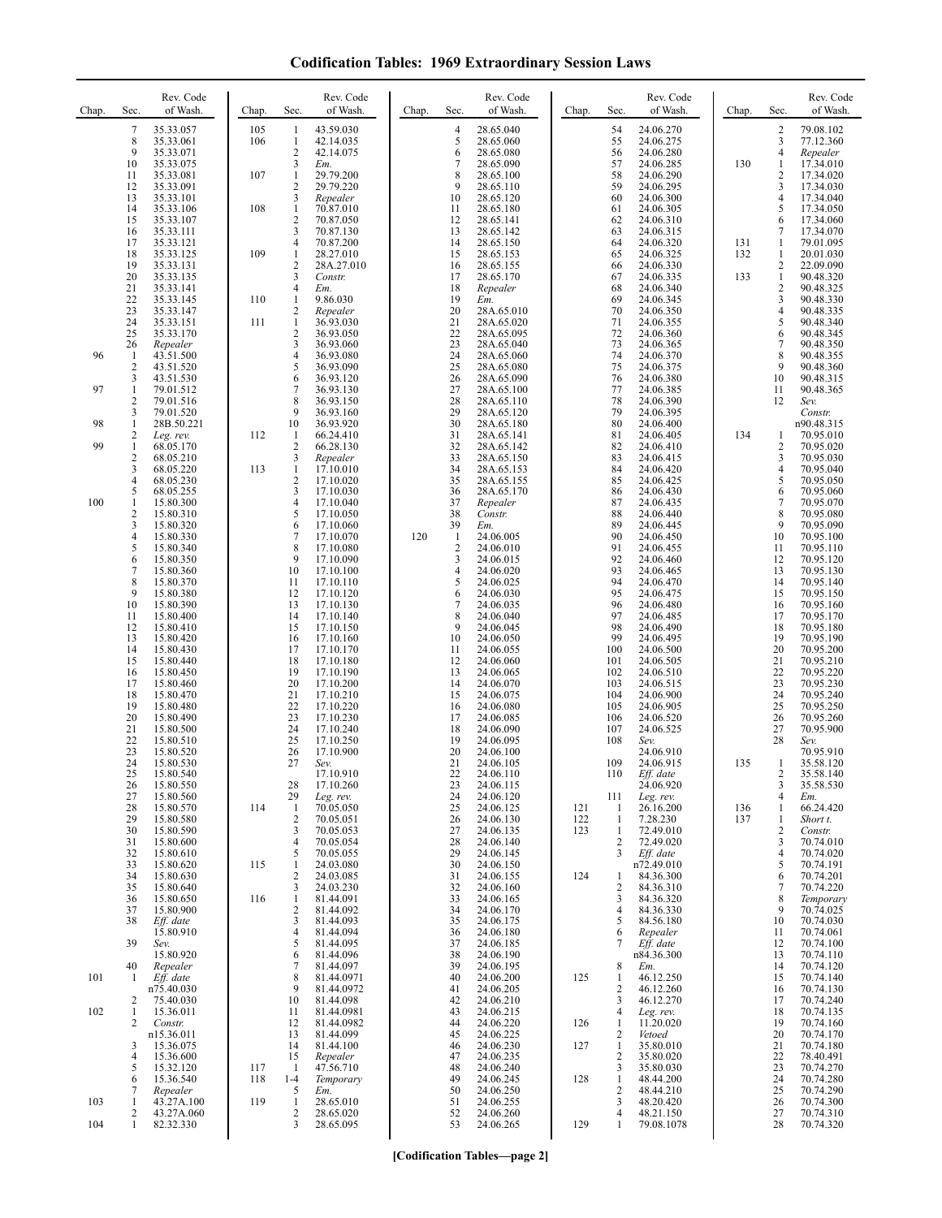| <b>Codification Tables: 1969 Extraordinary Session Laws</b> |  |  |  |  |
|-------------------------------------------------------------|--|--|--|--|
|-------------------------------------------------------------|--|--|--|--|

| Chap.    | Sec.                                                         | Rev. Code<br>of Wash.                             | Chap.             | Sec.                                                           | Rev. Code<br>of Wash.                             | Chap. | Sec.                                       | Rev. Code<br>of Wash.                                | Chap.             | Sec.                          | Rev. Code<br>of Wash.                             | Chap.      | Sec.                   | Rev. Code<br>of Wash.                             |
|----------|--------------------------------------------------------------|---------------------------------------------------|-------------------|----------------------------------------------------------------|---------------------------------------------------|-------|--------------------------------------------|------------------------------------------------------|-------------------|-------------------------------|---------------------------------------------------|------------|------------------------|---------------------------------------------------|
|          | 7<br>8<br>9<br>10                                            | 35.33.057<br>35.33.061<br>35.33.071<br>35.33.075  | 105<br>106        | 1<br>1<br>$\sqrt{2}$<br>3                                      | 43.59.030<br>42.14.035<br>42.14.075<br>Em.        |       | $\overline{4}$<br>5<br>6<br>7              | 28.65.040<br>28.65.060<br>28.65.080<br>28.65.090     |                   | 54<br>55<br>56<br>57          | 24.06.270<br>24.06.275<br>24.06.280<br>24.06.285  | 130        | 2<br>3<br>4<br>1       | 79.08.102<br>77.12.360<br>Repealer<br>17.34.010   |
|          | 11<br>12<br>13<br>14                                         | 35.33.081<br>35.33.091<br>35.33.101<br>35.33.106  | 107<br>108        | 1<br>2<br>3<br>1                                               | 29.79.200<br>29.79.220<br>Repealer<br>70.87.010   |       | 8<br>9<br>10<br>11                         | 28.65.100<br>28.65.110<br>28.65.120<br>28.65.180     |                   | 58<br>59<br>60<br>61          | 24.06.290<br>24.06.295<br>24.06.300<br>24.06.305  |            | 2<br>3<br>4<br>5       | 17.34.020<br>17.34.030<br>17.34.040<br>17.34.050  |
|          | 15<br>16<br>17<br>18                                         | 35.33.107<br>35.33.111<br>35.33.121<br>35.33.125  | 109               | 2<br>3<br>4<br>1                                               | 70.87.050<br>70.87.130<br>70.87.200<br>28.27.010  |       | 12<br>13<br>14<br>15                       | 28.65.141<br>28.65.142<br>28.65.150<br>28.65.153     |                   | 62<br>63<br>64<br>65          | 24.06.310<br>24.06.315<br>24.06.320<br>24.06.325  | 131<br>132 | 6<br>7<br>1<br>1       | 17.34.060<br>17.34.070<br>79.01.095<br>20.01.030  |
|          | 19<br>20<br>21                                               | 35.33.131<br>35.33.135<br>35.33.141               |                   | $\overline{\mathbf{c}}$<br>3<br>$\overline{4}$                 | 28A.27.010<br>Constr.<br>Em.                      |       | 16<br>17<br>18                             | 28.65.155<br>28.65.170<br>Repealer                   |                   | 66<br>67<br>68                | 24.06.330<br>24.06.335<br>24.06.340               | 133        | 2<br>$\mathbf{1}$<br>2 | 22.09.090<br>90.48.320<br>90.48.325               |
|          | 22<br>23<br>24<br>25                                         | 35.33.145<br>35.33.147<br>35.33.151<br>35.33.170  | 110<br>111        | 1<br>$\overline{\mathbf{c}}$<br>$\mathbf{1}$<br>$\mathfrak{2}$ | 9.86.030<br>Repealer<br>36.93.030<br>36.93.050    |       | 19<br>20<br>21<br>22                       | Em.<br>28A.65.010<br>28A.65.020<br>28A.65.095        |                   | 69<br>70<br>71<br>72          | 24.06.345<br>24.06.350<br>24.06.355<br>24.06.360  |            | 3<br>4<br>5<br>6       | 90.48.330<br>90.48.335<br>90.48.340<br>90.48.345  |
| 96       | 26<br>$\mathbf{1}$<br>$\overline{c}$<br>3                    | Repealer<br>43.51.500<br>43.51.520<br>43.51.530   |                   | 3<br>$\overline{4}$<br>5<br>6                                  | 36.93.060<br>36.93.080<br>36.93.090<br>36.93.120  |       | 23<br>24<br>25<br>26                       | 28A.65.040<br>28A.65.060<br>28A.65.080<br>28A.65.090 |                   | 73<br>74<br>75<br>76          | 24.06.365<br>24.06.370<br>24.06.375<br>24.06.380  |            | 7<br>8<br>9<br>10      | 90.48.350<br>90.48.355<br>90.48.360<br>90.48.315  |
| 97       | $\mathbf{1}$<br>$\overline{c}$<br>3                          | 79.01.512<br>79.01.516<br>79.01.520               |                   | 7<br>8<br>9                                                    | 36.93.130<br>36.93.150<br>36.93.160               |       | 27<br>28<br>29                             | 28A.65.100<br>28A.65.110<br>28A.65.120               |                   | 77<br>78<br>79                | 24.06.385<br>24.06.390<br>24.06.395               |            | 11<br>12               | 90.48.365<br>Sev.<br>Constr.                      |
| 98<br>99 | 1<br>$\overline{\mathbf{c}}$<br>1<br>$\overline{\mathbf{c}}$ | 28B.50.221<br>Leg. rev.<br>68.05.170<br>68.05.210 | 112               | 10<br>1<br>2<br>3                                              | 36.93.920<br>66.24.410<br>66.28.130<br>Repealer   |       | 30<br>31<br>32<br>33                       | 28A.65.180<br>28A.65.141<br>28A.65.142<br>28A.65.150 |                   | 80<br>81<br>82<br>83          | 24.06.400<br>24.06.405<br>24.06.410<br>24.06.415  | 134        | 1<br>2<br>3            | n90.48.315<br>70.95.010<br>70.95.020<br>70.95.030 |
| 100      | 3<br>4<br>5<br>1                                             | 68.05.220<br>68.05.230<br>68.05.255<br>15.80.300  | 113               | 1<br>$\mathfrak{2}$<br>3<br>4                                  | 17.10.010<br>17.10.020<br>17.10.030<br>17.10.040  |       | 34<br>35<br>36<br>37                       | 28A.65.153<br>28A.65.155<br>28A.65.170<br>Repealer   |                   | 84<br>85<br>86<br>87          | 24.06.420<br>24.06.425<br>24.06.430<br>24.06.435  |            | 4<br>5<br>6<br>7       | 70.95.040<br>70.95.050<br>70.95.060<br>70.95.070  |
|          | $\overline{c}$<br>3<br>4<br>5                                | 15.80.310<br>15.80.320<br>15.80.330<br>15.80.340  |                   | 5<br>6<br>7<br>8                                               | 17.10.050<br>17.10.060<br>17.10.070<br>17.10.080  | 120   | 38<br>39<br>$\mathbf{1}$<br>$\overline{c}$ | Constr.<br>Em.<br>24.06.005<br>24.06.010             |                   | 88<br>89<br>90<br>91          | 24.06.440<br>24.06.445<br>24.06.450<br>24.06.455  |            | 8<br>9<br>10<br>11     | 70.95.080<br>70.95.090<br>70.95.100<br>70.95.110  |
|          | 6<br>7<br>8<br>9                                             | 15.80.350<br>15.80.360<br>15.80.370               |                   | 9<br>10<br>11                                                  | 17.10.090<br>17.10.100<br>17.10.110               |       | $\mathfrak{Z}$<br>$\overline{4}$<br>5      | 24.06.015<br>24.06.020<br>24.06.025                  |                   | 92<br>93<br>94<br>95          | 24.06.460<br>24.06.465<br>24.06.470               |            | 12<br>13<br>14         | 70.95.120<br>70.95.130<br>70.95.140               |
|          | 10<br>11<br>12                                               | 15.80.380<br>15.80.390<br>15.80.400<br>15.80.410  |                   | 12<br>13<br>14<br>15                                           | 17.10.120<br>17.10.130<br>17.10.140<br>17.10.150  |       | 6<br>$\overline{7}$<br>8<br>9              | 24.06.030<br>24.06.035<br>24.06.040<br>24.06.045     |                   | 96<br>97<br>98                | 24.06.475<br>24.06.480<br>24.06.485<br>24.06.490  |            | 15<br>16<br>17<br>18   | 70.95.150<br>70.95.160<br>70.95.170<br>70.95.180  |
|          | 13<br>14<br>15<br>16                                         | 15.80.420<br>15.80.430<br>15.80.440<br>15.80.450  |                   | 16<br>17<br>18<br>19                                           | 17.10.160<br>17.10.170<br>17.10.180<br>17.10.190  |       | 10<br>11<br>12<br>13                       | 24.06.050<br>24.06.055<br>24.06.060<br>24.06.065     |                   | 99<br>100<br>101<br>102       | 24.06.495<br>24.06.500<br>24.06.505<br>24.06.510  |            | 19<br>20<br>21<br>22   | 70.95.190<br>70.95.200<br>70.95.210<br>70.95.220  |
|          | 17<br>18<br>19<br>20                                         | 15.80.460<br>15.80.470<br>15.80.480<br>15.80.490  |                   | 20<br>21<br>22<br>23                                           | 17.10.200<br>17.10.210<br>17.10.220<br>17.10.230  |       | 14<br>15<br>16<br>17                       | 24.06.070<br>24.06.075<br>24.06.080<br>24.06.085     |                   | 103<br>104<br>105<br>106      | 24.06.515<br>24.06.900<br>24.06.905<br>24.06.520  |            | 23<br>24<br>25<br>26   | 70.95.230<br>70.95.240<br>70.95.250<br>70.95.260  |
|          | 21<br>22<br>23<br>24                                         | 15.80.500<br>15.80.510<br>15.80.520<br>15.80.530  |                   | 24<br>25<br>26<br>27                                           | 17.10.240<br>17.10.250<br>17.10.900<br>Sev.       |       | 18<br>19<br>20<br>21                       | 24.06.090<br>24.06.095<br>24.06.100<br>24.06.105     |                   | 107<br>108<br>109             | 24.06.525<br>Sev.<br>24.06.910<br>24.06.915       | 135        | 27<br>28<br>1          | 70.95.900<br>Sev.<br>70.95.910<br>35.58.120       |
|          | 25<br>26<br>27                                               | 15.80.540<br>15.80.550<br>15.80.560               |                   | 28<br>29                                                       | 17.10.910<br>17.10.260<br>Leg. rev.               |       | 22<br>23<br>24                             | 24.06.110<br>24.06.115<br>24.06.120                  |                   | 110<br>111                    | Eff. date<br>24.06.920<br>Leg. rev.               |            | 2<br>3<br>4            | 35.58.140<br>35.58.530<br>Em.                     |
|          | 28<br>29<br>30<br>31                                         | 15.80.570<br>15.80.580<br>15.80.590<br>15.80.600  | 114               | 1<br>$\overline{c}$<br>3<br>4                                  | 70.05.050<br>70.05.051<br>70.05.053<br>70.05.054  |       | 25<br>26<br>27<br>28                       | 24.06.125<br>24.06.130<br>24.06.135<br>24.06.140     | 121<br>122<br>123 | -1<br>-1<br>$\mathbf{1}$<br>2 | 26.16.200<br>7.28.230<br>72.49.010<br>72.49.020   | 136<br>137 | 1<br>1<br>2<br>3       | 66.24.420<br>Short t.<br>Constr.<br>70.74.010     |
|          | 32<br>33<br>34<br>35                                         | 15.80.610<br>15.80.620<br>15.80.630<br>15.80.640  | 115               | 5<br>1<br>2<br>3                                               | 70.05.055<br>24.03.080<br>24.03.085<br>24.03.230  |       | 29<br>30<br>31<br>32                       | 24.06.145<br>24.06.150<br>24.06.155<br>24.06.160     | 124               | 3<br>1<br>2                   | Eff. date<br>n72.49.010<br>84.36.300<br>84.36.310 |            | 4<br>5<br>6<br>7       | 70.74.020<br>70.74.191<br>70.74.201<br>70.74.220  |
|          | 36<br>37<br>38                                               | 15.80.650<br>15.80.900<br>Eff. date<br>15.80.910  | 116               | $\mathbf{1}$<br>$\overline{\mathbf{c}}$<br>3<br>$\overline{4}$ | 81.44.091<br>81.44.092<br>81.44.093<br>81.44.094  |       | 33<br>34<br>35<br>36                       | 24.06.165<br>24.06.170<br>24.06.175<br>24.06.180     |                   | 3<br>4<br>5<br>6              | 84.36.320<br>84.36.330<br>84.56.180<br>Repealer   |            | 8<br>9<br>10<br>11     | Temporary<br>70.74.025<br>70.74.030<br>70.74.061  |
| 101      | 39<br>40<br>1                                                | Sev.<br>15.80.920<br>Repealer<br>Eff. date        |                   | 5<br>6<br>7<br>8                                               | 81.44.095<br>81.44.096<br>81.44.097<br>81.44.0971 |       | 37<br>38<br>39<br>40                       | 24.06.185<br>24.06.190<br>24.06.195<br>24.06.200     | 125               | 7<br>8<br>1                   | Eff. date<br>n84.36.300<br>Em.<br>46.12.250       |            | 12<br>13<br>14<br>15   | 70.74.100<br>70.74.110<br>70.74.120<br>70.74.140  |
| 102      | 2<br>$\mathbf{1}$                                            | n75.40.030<br>75.40.030<br>15.36.011              |                   | 9<br>10<br>11                                                  | 81.44.0972<br>81.44.098<br>81.44.0981             |       | 41<br>42<br>43                             | 24.06.205<br>24.06.210<br>24.06.215                  |                   | 2<br>3<br>4                   | 46.12.260<br>46.12.270<br>Leg. rev.               |            | 16<br>17<br>18         | 70.74.130<br>70.74.240<br>70.74.135               |
|          | 2<br>3<br>4                                                  | Constr.<br>n15.36.011<br>15.36.075<br>15.36.600   |                   | 12<br>13<br>14<br>15                                           | 81.44.0982<br>81.44.099<br>81.44.100<br>Repealer  |       | 44<br>45<br>46<br>47                       | 24.06.220<br>24.06.225<br>24.06.230<br>24.06.235     | 126<br>127        | 1<br>2<br>$\mathbf{1}$<br>2   | 11.20.020<br>Vetoed<br>35.80.010<br>35.80.020     |            | 19<br>20<br>21<br>22   | 70.74.160<br>70.74.170<br>70.74.180<br>78.40.491  |
| 103      | 5<br>6<br>7<br>1                                             | 15.32.120<br>15.36.540<br>Repealer<br>43.27A.100  | 117<br>118<br>119 | -1<br>$1-4$<br>5<br>$\mathbf{1}$                               | 47.56.710<br>Temporary<br>Em.<br>28.65.010        |       | 48<br>49<br>50<br>51                       | 24.06.240<br>24.06.245<br>24.06.250<br>24.06.255     | 128               | 3<br>1<br>2<br>3              | 35.80.030<br>48.44.200<br>48.44.210<br>48.20.420  |            | 23<br>24<br>25<br>26   | 70.74.270<br>70.74.280<br>70.74.290<br>70.74.300  |
| 104      | 2<br>1                                                       | 43.27A.060<br>82.32.330                           |                   | $\mathfrak{2}$<br>3                                            | 28.65.020<br>28.65.095                            |       | 52<br>53                                   | 24.06.260<br>24.06.265                               | 129               | 4<br>1                        | 48.21.150<br>79.08.1078                           |            | 27<br>28               | 70.74.310<br>70.74.320                            |

**[Codification Tables—page 2]**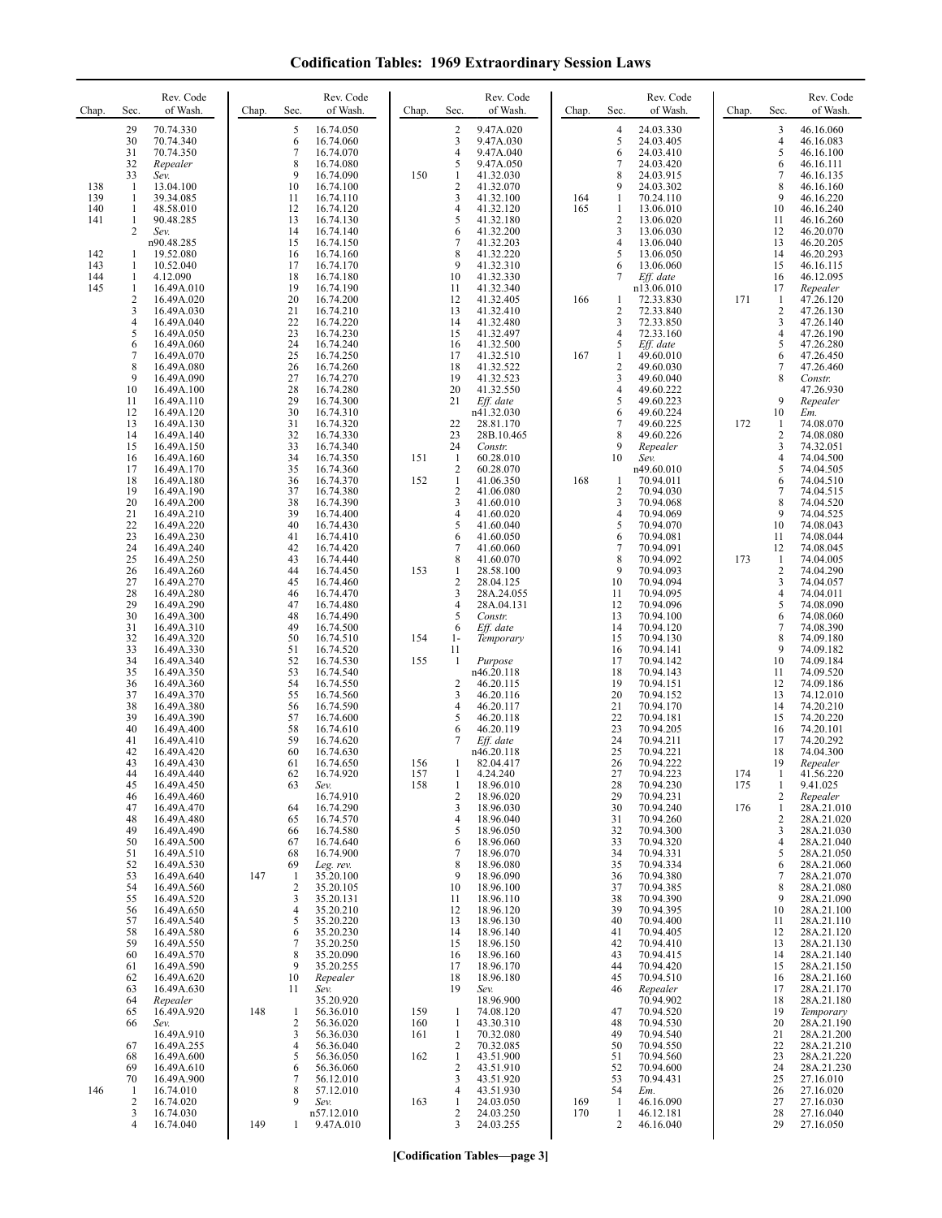| <b>Codification Tables: 1969 Extraordinary Session Laws</b> |  |  |
|-------------------------------------------------------------|--|--|
|-------------------------------------------------------------|--|--|

| Chap.                    | Sec.                                          | Rev. Code<br>of Wash.                                                            | Chap. | Sec.                               | Rev. Code<br>of Wash.                                                      | Chap.      | Sec.                                                                | Rev. Code<br>of Wash.                                                      | Chap.      | Sec.                                                 | Rev. Code<br>of Wash.                                                       | Chap.      | Sec.                                               | Rev. Code<br>of Wash.                                                           |
|--------------------------|-----------------------------------------------|----------------------------------------------------------------------------------|-------|------------------------------------|----------------------------------------------------------------------------|------------|---------------------------------------------------------------------|----------------------------------------------------------------------------|------------|------------------------------------------------------|-----------------------------------------------------------------------------|------------|----------------------------------------------------|---------------------------------------------------------------------------------|
|                          | 29<br>30<br>31<br>32<br>33                    | 70.74.330<br>70.74.340<br>70.74.350<br>Repealer<br>Sev.                          |       | 5<br>6<br>7<br>8<br>9              | 16.74.050<br>16.74.060<br>16.74.070<br>16.74.080<br>16.74.090              | 150        | $\frac{2}{3}$<br>$\overline{4}$<br>5<br>$\mathbf{1}$                | 9.47A.020<br>9.47A.030<br>9.47A.040<br>9.47A.050<br>41.32.030              |            | $\overline{4}$<br>5<br>6<br>7<br>8                   | 24.03.330<br>24.03.405<br>24.03.410<br>24.03.420<br>24.03.915               |            | 3<br>$\overline{4}$<br>5<br>6<br>7                 | 46.16.060<br>46.16.083<br>46.16.100<br>46.16.111<br>46.16.135                   |
| 138<br>139<br>140<br>141 | -1<br>-1<br>1<br>$\mathbf{1}$<br>2            | 13.04.100<br>39.34.085<br>48.58.010<br>90.48.285<br>Sev.<br>n90.48.285           |       | 10<br>11<br>12<br>13<br>14<br>15   | 16.74.100<br>16.74.110<br>16.74.120<br>16.74.130<br>16.74.140<br>16.74.150 |            | $\boldsymbol{2}$<br>$\mathfrak{Z}$<br>$\overline{4}$<br>5<br>6<br>7 | 41.32.070<br>41.32.100<br>41.32.120<br>41.32.180<br>41.32.200<br>41.32.203 | 164<br>165 | 9<br>1<br>1<br>$\overline{2}$<br>3<br>$\overline{4}$ | 24.03.302<br>70.24.110<br>13.06.010<br>13.06.020<br>13.06.030               |            | 8<br>9<br>10<br>11<br>12<br>13                     | 46.16.160<br>46.16.220<br>46.16.240<br>46.16.260<br>46.20.070<br>46.20.205      |
| 142<br>143<br>144<br>145 | -1<br>-1<br>$\mathbf{1}$<br>$\mathbf{1}$<br>2 | 19.52.080<br>10.52.040<br>4.12.090<br>16.49A.010<br>16.49A.020                   |       | 16<br>17<br>18<br>19<br>20         | 16.74.160<br>16.74.170<br>16.74.180<br>16.74.190<br>16.74.200              |            | 8<br>9<br>10<br>11<br>12                                            | 41.32.220<br>41.32.310<br>41.32.330<br>41.32.340<br>41.32.405              | 166        | 5<br>6<br>7<br>1                                     | 13.06.040<br>13.06.050<br>13.06.060<br>Eff. date<br>n13.06.010<br>72.33.830 | 171        | 14<br>15<br>16<br>17<br>1                          | 46.20.293<br>46.16.115<br>46.12.095<br>Repealer<br>47.26.120                    |
|                          | 3<br>4<br>5<br>6<br>7                         | 16.49A.030<br>16.49A.040<br>16.49A.050<br>16.49A.060<br>16.49A.070               |       | 21<br>22<br>23<br>24<br>25         | 16.74.210<br>16.74.220<br>16.74.230<br>16.74.240<br>16.74.250              |            | 13<br>14<br>15<br>16<br>17                                          | 41.32.410<br>41.32.480<br>41.32.497<br>41.32.500<br>41.32.510              | 167        | 2<br>3<br>4<br>5<br>1                                | 72.33.840<br>72.33.850<br>72.33.160<br>Eff. date<br>49.60.010               |            | $\overline{2}$<br>3<br>4<br>5<br>6                 | 47.26.130<br>47.26.140<br>47.26.190<br>47.26.280<br>47.26.450                   |
|                          | 8<br>9<br>10<br>11<br>12                      | 16.49A.080<br>16.49A.090<br>16.49A.100<br>16.49A.110<br>16.49A.120               |       | 26<br>27<br>28<br>29<br>30         | 16.74.260<br>16.74.270<br>16.74.280<br>16.74.300<br>16.74.310              |            | 18<br>19<br>20<br>21                                                | 41.32.522<br>41.32.523<br>41.32.550<br>Eff. date<br>n41.32.030             |            | $\overline{c}$<br>3<br>4<br>5<br>6                   | 49.60.030<br>49.60.040<br>49.60.222<br>49.60.223<br>49.60.224               |            | 7<br>8<br>9<br>10                                  | 47.26.460<br>Constr.<br>47.26.930<br>Repealer<br>Em.                            |
|                          | 13<br>14<br>15<br>16<br>17<br>18              | 16.49A.130<br>16.49A.140<br>16.49A.150<br>16.49A.160<br>16.49A.170               |       | 31<br>32<br>33<br>34<br>35         | 16.74.320<br>16.74.330<br>16.74.340<br>16.74.350<br>16.74.360<br>16.74.370 | 151<br>152 | 22<br>23<br>24<br>$\mathbf{1}$<br>$\sqrt{2}$<br>1                   | 28.81.170<br>28B.10.465<br>Constr.<br>60.28.010<br>60.28.070<br>41.06.350  |            | $\overline{7}$<br>8<br>9<br>10                       | 49.60.225<br>49.60.226<br>Repealer<br>Sev.<br>n49.60.010<br>70.94.011       | 172        | -1<br>$\overline{2}$<br>3<br>4<br>5                | 74.08.070<br>74.08.080<br>74.32.051<br>74.04.500<br>74.04.505<br>74.04.510      |
|                          | 19<br>20<br>21<br>22<br>23                    | 16.49A.180<br>16.49A.190<br>16.49A.200<br>16.49A.210<br>16.49A.220<br>16.49A.230 |       | 36<br>37<br>38<br>39<br>40<br>41   | 16.74.380<br>16.74.390<br>16.74.400<br>16.74.430<br>16.74.410              |            | $\sqrt{2}$<br>3<br>$\overline{4}$<br>5<br>6                         | 41.06.080<br>41.60.010<br>41.60.020<br>41.60.040<br>41.60.050              | 168        | $\mathbf{1}$<br>2<br>3<br>4<br>5<br>6                | 70.94.030<br>70.94.068<br>70.94.069<br>70.94.070<br>70.94.081               |            | 6<br>7<br>8<br>9<br>10<br>11                       | 74.04.515<br>74.04.520<br>74.04.525<br>74.08.043<br>74.08.044                   |
|                          | 24<br>25<br>26<br>27<br>28                    | 16.49A.240<br>16.49A.250<br>16.49A.260<br>16.49A.270<br>16.49A.280               |       | 42<br>43<br>44<br>45<br>46         | 16.74.420<br>16.74.440<br>16.74.450<br>16.74.460<br>16.74.470              | 153        | $\overline{7}$<br>8<br>$\mathbf{1}$<br>$\frac{2}{3}$                | 41.60.060<br>41.60.070<br>28.58.100<br>28.04.125<br>28A.24.055             |            | $\tau$<br>8<br>9<br>10<br>11                         | 70.94.091<br>70.94.092<br>70.94.093<br>70.94.094<br>70.94.095               | 173        | 12<br>-1<br>$\overline{2}$<br>3<br>4               | 74.08.045<br>74.04.005<br>74.04.290<br>74.04.057<br>74.04.011                   |
|                          | 29<br>30<br>31<br>32<br>33<br>34              | 16.49A.290<br>16.49A.300<br>16.49A.310<br>16.49A.320<br>16.49A.330<br>16.49A.340 |       | 47<br>48<br>49<br>50<br>51<br>52   | 16.74.480<br>16.74.490<br>16.74.500<br>16.74.510<br>16.74.520<br>16.74.530 | 154<br>155 | $\overline{4}$<br>5<br>6<br>$1-$<br>11<br>1                         | 28A.04.131<br>Constr.<br>Eff. date<br>Temporary<br>Purpose                 |            | 12<br>13<br>14<br>15<br>16<br>17                     | 70.94.096<br>70.94.100<br>70.94.120<br>70.94.130<br>70.94.141<br>70.94.142  |            | 5<br>6<br>7<br>8<br>9<br>10                        | 74.08.090<br>74.08.060<br>74.08.390<br>74.09.180<br>74.09.182<br>74.09.184      |
|                          | 35<br>36<br>37<br>38<br>39                    | 16.49A.350<br>16.49A.360<br>16.49A.370<br>16.49A.380<br>16.49A.390               |       | 53<br>54<br>55<br>56<br>57         | 16.74.540<br>16.74.550<br>16.74.560<br>16.74.590<br>16.74.600              |            | 2<br>3<br>$\overline{4}$<br>5                                       | n46.20.118<br>46.20.115<br>46.20.116<br>46.20.117<br>46.20.118             |            | 18<br>19<br>20<br>21<br>22                           | 70.94.143<br>70.94.151<br>70.94.152<br>70.94.170<br>70.94.181               |            | 11<br>12<br>13<br>14<br>15                         | 74.09.520<br>74.09.186<br>74.12.010<br>74.20.210<br>74.20.220                   |
|                          | 40<br>41<br>42<br>43<br>44                    | 16.49A.400<br>16.49A.410<br>16.49A.420<br>16.49A.430<br>16.49A.440               |       | 58<br>59<br>60<br>61<br>62         | 16.74.610<br>16.74.620<br>16.74.630<br>16.74.650<br>16.74.920              | 156<br>157 | 6<br>7<br>1<br>-1                                                   | 46.20.119<br>Eff. date<br>n46.20.118<br>82.04.417<br>4.24.240              |            | 23<br>24<br>25<br>26<br>27                           | 70.94.205<br>70.94.211<br>70.94.221<br>70.94.222<br>70.94.223               | 174        | 16<br>17<br>18<br>19<br>-1                         | 74.20.101<br>74.20.292<br>74.04.300<br>Repealer<br>41.56.220                    |
|                          | 45<br>46<br>47<br>48<br>49<br>50              | 16.49A.450<br>16.49A.460<br>16.49A.470<br>16.49A.480<br>16.49A.490<br>16.49A.500 |       | 63<br>64<br>65<br>66<br>67         | Sev.<br>16.74.910<br>16.74.290<br>16.74.570<br>16.74.580<br>16.74.640      | 158        | 1<br>$\overline{2}$<br>3<br>$\overline{4}$<br>5<br>6                | 18.96.010<br>18.96.020<br>18.96.030<br>18.96.040<br>18.96.050<br>18.96.060 |            | 28<br>29<br>30<br>31<br>32<br>33                     | 70.94.230<br>70.94.231<br>70.94.240<br>70.94.260<br>70.94.300<br>70.94.320  | 175<br>176 | 1<br>2<br>$\mathbf{1}$<br>$\overline{c}$<br>3<br>4 | 9.41.025<br>Repealer<br>28A.21.010<br>28A.21.020<br>28A.21.030<br>28A.21.040    |
|                          | 51<br>52<br>53<br>54<br>55                    | 16.49A.510<br>16.49A.530<br>16.49A.640<br>16.49A.560<br>16.49A.520               | 147   | 68<br>69<br>$\mathbf{1}$<br>2<br>3 | 16.74.900<br>Leg. rev.<br>35.20.100<br>35.20.105<br>35.20.131              |            | $\tau$<br>8<br>9<br>10<br>11                                        | 18.96.070<br>18.96.080<br>18.96.090<br>18.96.100<br>18.96.110              |            | 34<br>35<br>36<br>37<br>38                           | 70.94.331<br>70.94.334<br>70.94.380<br>70.94.385<br>70.94.390               |            | 5<br>6<br>7<br>8<br>9                              | 28A.21.050<br>28A.21.060<br>28A.21.070<br>28A.21.080<br>28A.21.090              |
|                          | 56<br>57<br>58<br>59<br>60                    | 16.49A.650<br>16.49A.540<br>16.49A.580<br>16.49A.550<br>16.49A.570               |       | 4<br>5<br>6<br>$\overline{7}$<br>8 | 35.20.210<br>35.20.220<br>35.20.230<br>35.20.250<br>35.20.090              |            | 12<br>13<br>14<br>15<br>16                                          | 18.96.120<br>18.96.130<br>18.96.140<br>18.96.150<br>18.96.160              |            | 39<br>40<br>41<br>42<br>43                           | 70.94.395<br>70.94.400<br>70.94.405<br>70.94.410<br>70.94.415               |            | 10<br>11<br>12<br>13<br>14                         | 28A.21.100<br>28A.21.110<br>28A.21.120<br>28A.21.130<br>28A.21.140              |
|                          | 61<br>62<br>63<br>64<br>65<br>66              | 16.49A.590<br>16.49A.620<br>16.49A.630<br>Repealer<br>16.49A.920<br>Sev.         | 148   | 9<br>10<br>11<br>$\mathbf{1}$<br>2 | 35.20.255<br>Repealer<br>Sev.<br>35.20.920<br>56.36.010<br>56.36.020       | 159<br>160 | 17<br>18<br>19<br>1<br>1                                            | 18.96.170<br>18.96.180<br>Sev.<br>18.96.900<br>74.08.120<br>43.30.310      |            | 44<br>45<br>46<br>47<br>48                           | 70.94.420<br>70.94.510<br>Repealer<br>70.94.902<br>70.94.520<br>70.94.530   |            | 15<br>16<br>17<br>18<br>19<br>20                   | 28A.21.150<br>28A.21.160<br>28A.21.170<br>28A.21.180<br>Temporary<br>28A.21.190 |
|                          | 67<br>68<br>69<br>70                          | 16.49A.910<br>16.49A.255<br>16.49A.600<br>16.49A.610<br>16.49A.900               |       | 3<br>4<br>5<br>6<br>7              | 56.36.030<br>56.36.040<br>56.36.050<br>56.36.060<br>56.12.010              | 161<br>162 | 1<br>2<br>$\mathbf{1}$<br>$\sqrt{2}$<br>3                           | 70.32.080<br>70.32.085<br>43.51.900<br>43.51.910<br>43.51.920              |            | 49<br>50<br>51<br>52<br>53                           | 70.94.540<br>70.94.550<br>70.94.560<br>70.94.600<br>70.94.431               |            | 21<br>22<br>23<br>24<br>25                         | 28A.21.200<br>28A.21.210<br>28A.21.220<br>28A.21.230<br>27.16.010               |
| 146                      | 1<br>2<br>3<br>4                              | 16.74.010<br>16.74.020<br>16.74.030<br>16.74.040                                 | 149   | 8<br>9<br>1                        | 57.12.010<br>Sev.<br>n57.12.010<br>9.47A.010                               | 163        | $\overline{4}$<br>1<br>$\sqrt{2}$<br>3                              | 43.51.930<br>24.03.050<br>24.03.250<br>24.03.255                           | 169<br>170 | 54<br>-1<br>1<br>2                                   | Em.<br>46.16.090<br>46.12.181<br>46.16.040                                  |            | 26<br>27<br>28<br>29                               | 27.16.020<br>27.16.030<br>27.16.040<br>27.16.050                                |

**[Codification Tables—page 3]**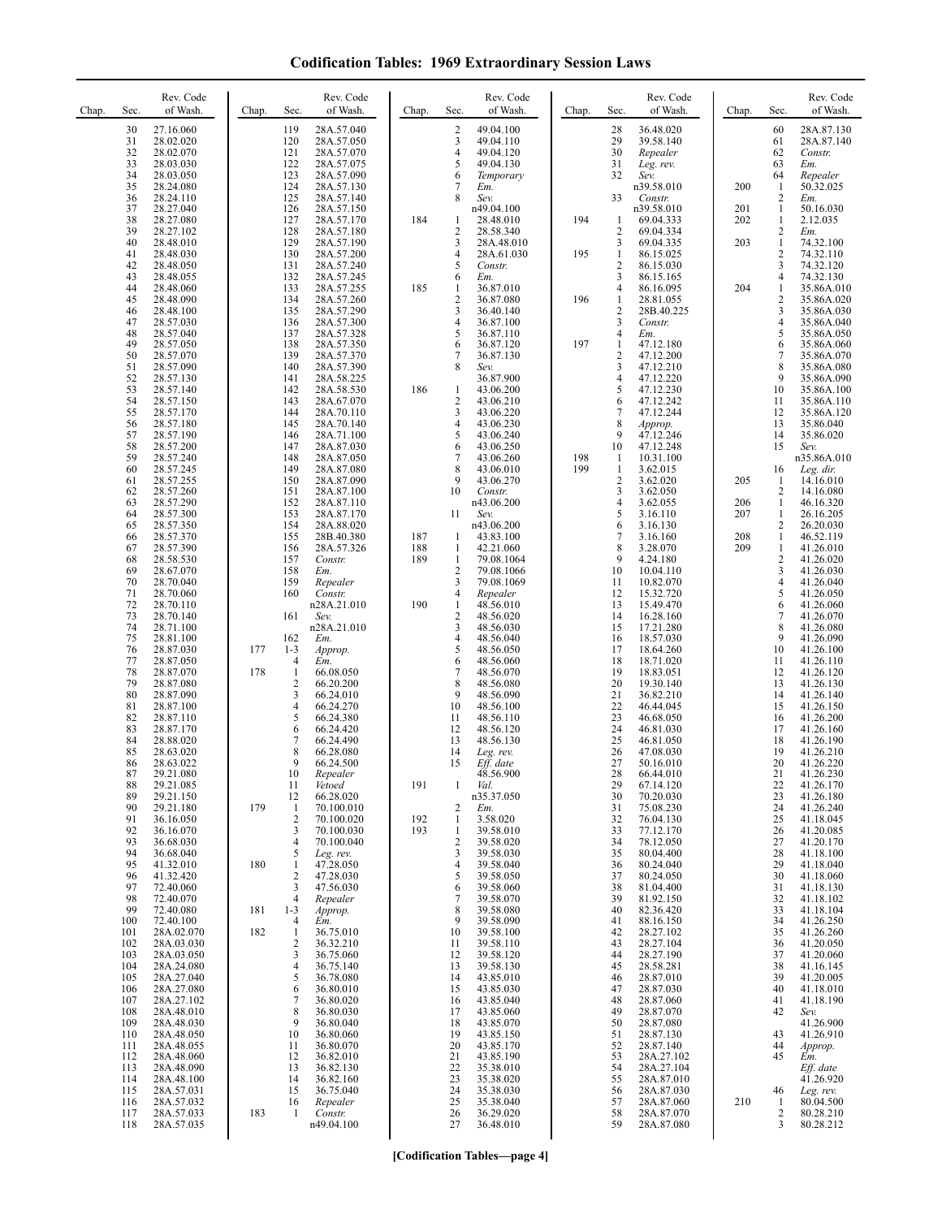| <b>Codification Tables: 1969 Extraordinary Session Laws</b> |  |  |
|-------------------------------------------------------------|--|--|
|-------------------------------------------------------------|--|--|

| Chap. | Sec.                 | Rev. Code<br>of Wash.                            | Chap.      | Sec.                                      | Rev. Code<br>of Wash.                                | Chap.      | Sec.                                | Rev. Code<br>of Wash.                            | Chap. | Sec.                                           | Rev. Code<br>of Wash.                           | Chap.      | Sec.                                 | Rev. Code<br>of Wash.                      |
|-------|----------------------|--------------------------------------------------|------------|-------------------------------------------|------------------------------------------------------|------------|-------------------------------------|--------------------------------------------------|-------|------------------------------------------------|-------------------------------------------------|------------|--------------------------------------|--------------------------------------------|
|       | 30<br>31<br>32<br>33 | 27.16.060<br>28.02.020<br>28.02.070<br>28.03.030 |            | 119<br>120<br>121<br>122                  | 28A.57.040<br>28A.57.050<br>28A.57.070<br>28A.57.075 |            | $\overline{c}$<br>3<br>4<br>5       | 49.04.100<br>49.04.110<br>49.04.120<br>49.04.130 |       | 28<br>29<br>30<br>31                           | 36.48.020<br>39.58.140<br>Repealer<br>Leg. rev. |            | 60<br>61<br>62<br>63                 | 28A.87.130<br>28A.87.140<br>Constr.<br>Em. |
|       | 34<br>35<br>36       | 28.03.050<br>28.24.080<br>28.24.110              |            | 123<br>124<br>125                         | 28A.57.090<br>28A.57.130<br>28A.57.140               |            | 6<br>7<br>8                         | Temporary<br>Em.<br>Sev.                         |       | 32<br>33                                       | Sev.<br>n39.58.010<br>Constr.                   | 200        | 64<br>$\mathbf{1}$<br>$\overline{2}$ | Repealer<br>50.32.025<br>Em.               |
|       | 37<br>38<br>39       | 28.27.040<br>28.27.080                           |            | 126<br>127                                | 28A.57.150<br>28A.57.170                             | 184        | 1                                   | n49.04.100<br>28.48.010                          | 194   | -1                                             | n39.58.010<br>69.04.333                         | 201<br>202 | $\mathbf{1}$<br>$\mathbf{1}$         | 50.16.030<br>2.12.035                      |
|       | 40<br>41             | 28.27.102<br>28.48.010<br>28.48.030              |            | 128<br>129<br>130                         | 28A.57.180<br>28A.57.190<br>28A.57.200               |            | $\overline{c}$<br>3<br>4            | 28.58.340<br>28A.48.010<br>28A.61.030            | 195   | $\overline{c}$<br>3<br>$\mathbf{1}$            | 69.04.334<br>69.04.335<br>86.15.025             | 203        | 2<br>$\mathbf{1}$<br>2               | Em.<br>74.32.100<br>74.32.110              |
|       | 42<br>43<br>44       | 28.48.050<br>28.48.055<br>28.48.060              |            | 131<br>132<br>133                         | 28A.57.240<br>28A.57.245<br>28A.57.255               | 185        | 5<br>6<br>1                         | Constr.<br>Em.<br>36.87.010                      |       | $\sqrt{2}$<br>$\mathbf{3}$<br>$\overline{4}$   | 86.15.030<br>86.15.165<br>86.16.095             | 204        | 3<br>4<br>$\mathbf{1}$               | 74.32.120<br>74.32.130<br>35.86A.010       |
|       | 45<br>46             | 28.48.090<br>28.48.100                           |            | 134<br>135                                | 28A.57.260<br>28A.57.290                             |            | $\overline{2}$<br>3                 | 36.87.080<br>36.40.140                           | 196   | $\mathbf{1}$<br>$\overline{c}$                 | 28.81.055<br>28B.40.225                         |            | 2<br>3                               | 35.86A.020<br>35.86A.030                   |
|       | 47<br>48<br>49       | 28.57.030<br>28.57.040<br>28.57.050              |            | 136<br>137<br>138                         | 28A.57.300<br>28A.57.328<br>28A.57.350               |            | 4<br>5<br>6                         | 36.87.100<br>36.87.110<br>36.87.120              | 197   | $\mathbf{3}$<br>$\overline{4}$<br>1            | Constr.<br>Em.<br>47.12.180                     |            | $\overline{\mathbf{4}}$<br>5<br>6    | 35.86A.040<br>35.86A.050<br>35.86A.060     |
|       | 50<br>51             | 28.57.070<br>28.57.090                           |            | 139<br>140                                | 28A.57.370<br>28A.57.390                             |            | 7<br>8                              | 36.87.130<br>Sev.                                |       | $\overline{2}$<br>3                            | 47.12.200<br>47.12.210                          |            | 7<br>8<br>9                          | 35.86A.070<br>35.86A.080                   |
|       | 52<br>53<br>54       | 28.57.130<br>28.57.140<br>28.57.150              |            | 141<br>142<br>143                         | 28A.58.225<br>28A.58.530<br>28A.67.070               | 186        | $\mathbf{1}$<br>$\overline{2}$      | 36.87.900<br>43.06.200<br>43.06.210              |       | $\overline{4}$<br>5<br>6                       | 47.12.220<br>47.12.230<br>47.12.242             |            | 10<br>11                             | 35.86A.090<br>35.86A.100<br>35.86A.110     |
|       | 55<br>56<br>57       | 28.57.170<br>28.57.180<br>28.57.190              |            | 144<br>145<br>146                         | 28A.70.110<br>28A.70.140<br>28A.71.100               |            | 3<br>4<br>5                         | 43.06.220<br>43.06.230<br>43.06.240              |       | $\boldsymbol{7}$<br>8<br>9                     | 47.12.244<br>Approp.<br>47.12.246               |            | 12<br>13<br>14                       | 35.86A.120<br>35.86.040<br>35.86.020       |
|       | 58<br>59             | 28.57.200<br>28.57.240                           |            | 147<br>148                                | 28A.87.030<br>28A.87.050                             |            | 6<br>7                              | 43.06.250<br>43.06.260                           | 198   | 10<br>1                                        | 47.12.248<br>10.31.100                          |            | 15                                   | Sev.<br>n35.86A.010                        |
|       | 60<br>61<br>62       | 28.57.245<br>28.57.255<br>28.57.260              |            | 149<br>150<br>151                         | 28A.87.080<br>28A.87.090<br>28A.87.100               |            | 8<br>9<br>10                        | 43.06.010<br>43.06.270<br>Constr.                | 199   | $\mathbf{1}$<br>$\overline{c}$<br>$\mathbf{3}$ | 3.62.015<br>3.62.020<br>3.62.050                | 205        | 16<br>1<br>2                         | Leg. dir.<br>14.16.010<br>14.16.080        |
|       | 63<br>64<br>65       | 28.57.290<br>28.57.300<br>28.57.350              |            | 152<br>153<br>154                         | 28A.87.110<br>28A.87.170<br>28A.88.020               |            | 11                                  | n43.06.200<br>Sev.<br>n43.06.200                 |       | $\overline{4}$<br>5<br>6                       | 3.62.055<br>3.16.110<br>3.16.130                | 206<br>207 | 1<br>$\mathbf{1}$<br>2               | 46.16.320<br>26.16.205<br>26.20.030        |
|       | 66<br>67             | 28.57.370<br>28.57.390                           |            | 155<br>156                                | 28B.40.380<br>28A.57.326                             | 187<br>188 | 1<br>$\mathbf{1}$                   | 43.83.100<br>42.21.060                           |       | $\tau$<br>$\,$ 8 $\,$                          | 3.16.160<br>3.28.070                            | 208<br>209 | $\mathbf{1}$<br>$\mathbf{1}$         | 46.52.119<br>41.26.010                     |
|       | 68<br>69<br>70       | 28.58.530<br>28.67.070<br>28.70.040              |            | 157<br>158<br>159                         | Constr.<br>Em.<br>Repealer                           | 189        | $\mathbf{1}$<br>$\overline{2}$<br>3 | 79.08.1064<br>79.08.1066<br>79.08.1069           |       | 9<br>10<br>11                                  | 4.24.180<br>10.04.110<br>10.82.070              |            | 2<br>3<br>4                          | 41.26.020<br>41.26.030<br>41.26.040        |
|       | 71<br>72<br>73       | 28.70.060<br>28.70.110<br>28.70.140              |            | 160<br>161                                | Constr.<br>n28A.21.010<br>Sev.                       | 190        | 4<br>$\mathbf{1}$<br>$\sqrt{2}$     | Repealer<br>48.56.010<br>48.56.020               |       | 12<br>13<br>14                                 | 15.32.720<br>15.49.470<br>16.28.160             |            | 5<br>6<br>7                          | 41.26.050<br>41.26.060<br>41.26.070        |
|       | 74<br>75             | 28.71.100<br>28.81.100                           |            | 162                                       | n28A.21.010<br>Em.                                   |            | 3<br>4                              | 48.56.030<br>48.56.040                           |       | 15<br>16                                       | 17.21.280<br>18.57.030                          |            | 8<br>9                               | 41.26.080<br>41.26.090                     |
|       | 76<br>77<br>78       | 28.87.030<br>28.87.050<br>28.87.070              | 177<br>178 | $1 - 3$<br>$\overline{4}$<br>$\mathbf{1}$ | Approp.<br>Em.<br>66.08.050                          |            | 5<br>6<br>7                         | 48.56.050<br>48.56.060<br>48.56.070              |       | 17<br>18<br>19                                 | 18.64.260<br>18.71.020<br>18.83.051             |            | 10<br>11<br>12                       | 41.26.100<br>41.26.110<br>41.26.120        |
|       | 79<br>80<br>81       | 28.87.080<br>28.87.090<br>28.87.100              |            | 2<br>3<br>4                               | 66.20.200<br>66.24.010<br>66.24.270                  |            | 8<br>9<br>10                        | 48.56.080<br>48.56.090<br>48.56.100              |       | 20<br>21<br>22                                 | 19.30.140<br>36.82.210<br>46.44.045             |            | 13<br>14<br>15                       | 41.26.130<br>41.26.140<br>41.26.150        |
|       | 82<br>83             | 28.87.110<br>28.87.170                           |            | 5<br>6                                    | 66.24.380<br>66.24.420                               |            | 11<br>12                            | 48.56.110<br>48.56.120                           |       | 23<br>24<br>25                                 | 46.68.050<br>46.81.030                          |            | 16<br>17                             | 41.26.200<br>41.26.160                     |
|       | 84<br>85<br>86       | 28.88.020<br>28.63.020<br>28.63.022              |            | 7<br>8<br>9                               | 66.24.490<br>66.28.080<br>66.24.500                  |            | 13<br>14<br>15                      | 48.56.130<br>Leg. rev.<br>Eff. date              |       | 26<br>27                                       | 46.81.050<br>47.08.030<br>50.16.010             |            | 18<br>19<br>20                       | 41.26.190<br>41.26.210<br>41.26.220        |
|       | 87<br>88<br>89       | 29.21.080<br>29.21.085<br>29.21.150              |            | 10<br>11<br>12                            | Repealer<br>Vetoed<br>66.28.020                      | 191        | 1                                   | 48.56.900<br>Val.<br>n35.37.050                  |       | 28<br>29<br>30                                 | 66.44.010<br>67.14.120<br>70.20.030             |            | 21<br>22<br>23                       | 41.26.230<br>41.26.170<br>41.26.180        |
|       | 90<br>91             | 29.21.180<br>36.16.050                           | 179        | $\mathbf{1}$<br>$\overline{\mathbf{c}}$   | 70.100.010<br>70.100.020                             | 192        | $\overline{2}$<br>$\mathbf{1}$      | Em.<br>3.58.020                                  |       | 31<br>32                                       | 75.08.230<br>76.04.130                          |            | 24<br>25                             | 41.26.240<br>41.18.045                     |
|       | 92<br>93<br>94       | 36.16.070<br>36.68.030<br>36.68.040              |            | 3<br>4<br>5                               | 70.100.030<br>70.100.040<br>Leg. rev.                | 193        | $\mathbf{1}$<br>$\sqrt{2}$<br>3     | 39.58.010<br>39.58.020<br>39.58.030              |       | 33<br>34<br>35                                 | 77.12.170<br>78.12.050<br>80.04.400             |            | 26<br>27<br>28                       | 41.20.085<br>41.20.170<br>41.18.100        |
|       | 95<br>96<br>97       | 41.32.010<br>41.32.420<br>72.40.060              | 180        | $\mathbf{1}$<br>$\overline{c}$<br>3       | 47.28.050<br>47.28.030<br>47.56.030                  |            | 4<br>5<br>6                         | 39.58.040<br>39.58.050<br>39.58.060              |       | 36<br>37<br>38                                 | 80.24.040<br>80.24.050<br>81.04.400             |            | 29<br>30<br>31                       | 41.18.040<br>41.18.060<br>41.18.130        |
|       | 98<br>99             | 72.40.070<br>72.40.080                           | 181        | $\overline{4}$<br>$1 - 3$                 | Repealer<br>Approp.                                  |            | 7<br>8                              | 39.58.070<br>39.58.080                           |       | 39<br>40                                       | 81.92.150<br>82.36.420                          |            | 32<br>33                             | 41.18.102<br>41.18.104                     |
|       | 100<br>101<br>102    | 72.40.100<br>28A.02.070<br>28A.03.030            | 182        | $\overline{4}$<br>$\mathbf{1}$<br>2       | Em.<br>36.75.010<br>36.32.210                        |            | 9<br>10<br>11                       | 39.58.090<br>39.58.100<br>39.58.110              |       | 41<br>42<br>43                                 | 88.16.150<br>28.27.102<br>28.27.104             |            | 34<br>35<br>36                       | 41.26.250<br>41.26.260<br>41.20.050        |
|       | 103<br>104<br>105    | 28A.03.050<br>28A.24.080<br>28A.27.040           |            | 3<br>4<br>5                               | 36.75.060<br>36.75.140<br>36.78.080                  |            | 12<br>13<br>14                      | 39.58.120<br>39.58.130<br>43.85.010              |       | 44<br>45<br>46                                 | 28.27.190<br>28.58.281<br>28.87.010             |            | 37<br>38<br>39                       | 41.20.060<br>41.16.145<br>41.20.005        |
|       | 106<br>107           | 28A.27.080<br>28A.27.102                         |            | 6<br>7<br>8                               | 36.80.010<br>36.80.020                               |            | 15<br>16                            | 43.85.030<br>43.85.040                           |       | 47<br>48                                       | 28.87.030<br>28.87.060                          |            | 40<br>41                             | 41.18.010<br>41.18.190                     |
|       | 108<br>109<br>110    | 28A.48.010<br>28A.48.030<br>28A.48.050           |            | 9<br>10                                   | 36.80.030<br>36.80.040<br>36.80.060                  |            | 17<br>18<br>19                      | 43.85.060<br>43.85.070<br>43.85.150              |       | 49<br>50<br>51                                 | 28.87.070<br>28.87.080<br>28.87.130             |            | 42<br>43                             | Sev.<br>41.26.900<br>41.26.910             |
|       | 111<br>112<br>113    | 28A.48.055<br>28A.48.060<br>28A.48.090           |            | 11<br>12<br>13                            | 36.80.070<br>36.82.010<br>36.82.130                  |            | 20<br>21<br>22                      | 43.85.170<br>43.85.190<br>35.38.010              |       | 52<br>53<br>54                                 | 28.87.140<br>28A.27.102<br>28A.27.104           |            | 44<br>45                             | Approp.<br>Em.<br>Eff. date                |
|       | 114<br>115           | 28A.48.100<br>28A.57.031                         |            | 14<br>15                                  | 36.82.160<br>36.75.040                               |            | 23<br>24                            | 35.38.020<br>35.38.030                           |       | 55<br>56                                       | 28A.87.010<br>28A.87.030                        |            | 46                                   | 41.26.920<br>Leg. rev.                     |
|       | 116<br>117<br>118    | 28A.57.032<br>28A.57.033<br>28A.57.035           | 183        | 16<br>-1                                  | Repealer<br>Constr.<br>n49.04.100                    |            | 25<br>26<br>27                      | 35.38.040<br>36.29.020<br>36.48.010              |       | 57<br>58<br>59                                 | 28A.87.060<br>28A.87.070<br>28A.87.080          | 210        | 1<br>$\sqrt{2}$<br>3                 | 80.04.500<br>80.28.210<br>80.28.212        |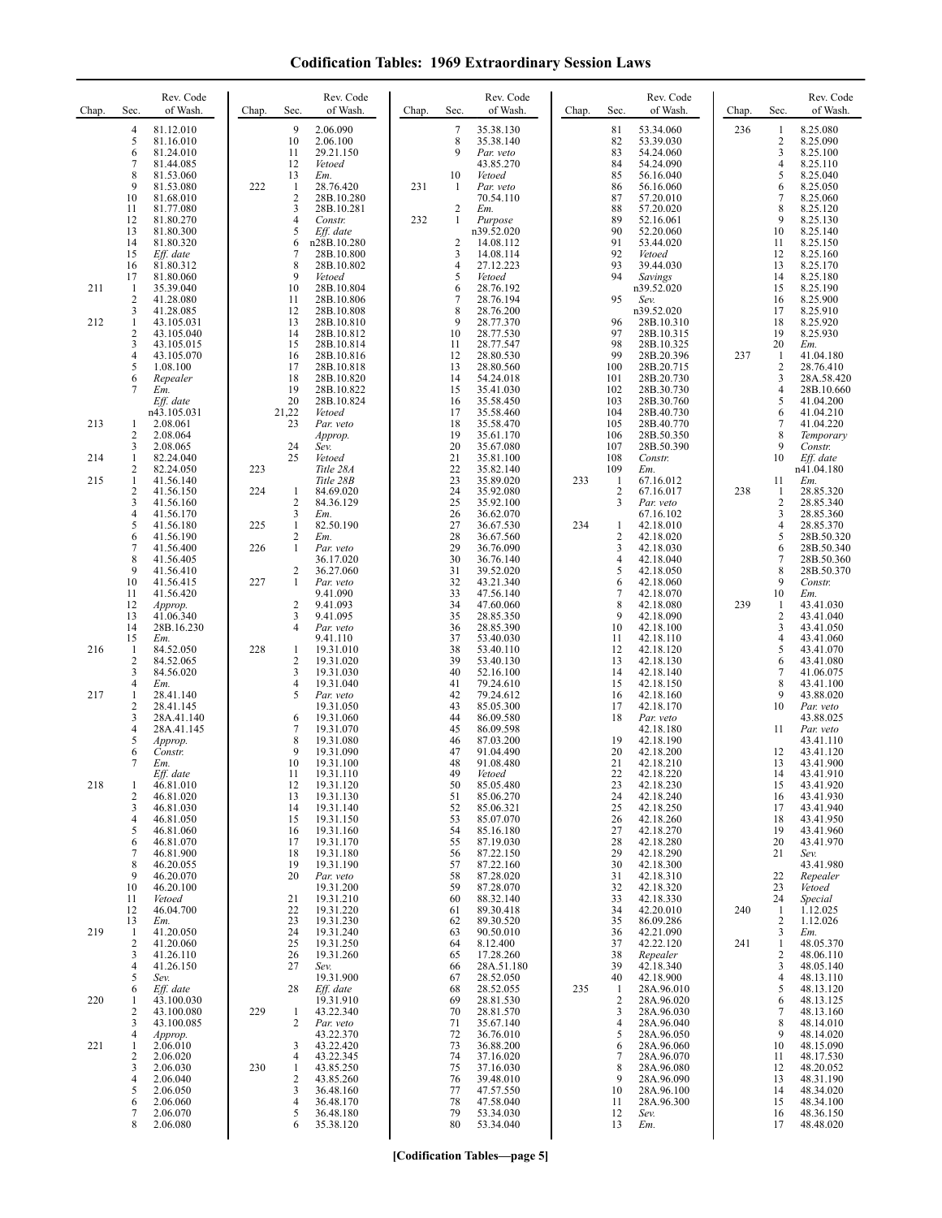## **Codification Tables: 1969 Extraordinary Session Laws**

| Chap.             | Sec.                                                                  | Rev. Code<br>of Wash.                                                                                                                                    | Chap.             | Rev. Code<br>Sec.<br>of Wash.                                                                                                                                                                                                              | Chap.      | Sec.                                                             | Rev. Code<br>of Wash.                                                                                                                          | Chap. | Sec.                                                                 | Rev. Code<br>of Wash.                                                                                                                                 | Chap.      | Sec.                                                                                  | Rev. Code<br>of Wash.                                                                                                                        |
|-------------------|-----------------------------------------------------------------------|----------------------------------------------------------------------------------------------------------------------------------------------------------|-------------------|--------------------------------------------------------------------------------------------------------------------------------------------------------------------------------------------------------------------------------------------|------------|------------------------------------------------------------------|------------------------------------------------------------------------------------------------------------------------------------------------|-------|----------------------------------------------------------------------|-------------------------------------------------------------------------------------------------------------------------------------------------------|------------|---------------------------------------------------------------------------------------|----------------------------------------------------------------------------------------------------------------------------------------------|
|                   | 4<br>5<br>6<br>7<br>8<br>9<br>10<br>11<br>12<br>13<br>14<br>15        | 81.12.010<br>81.16.010<br>81.24.010<br>81.44.085<br>81.53.060<br>81.53.080<br>81.68.010<br>81.77.080<br>81.80.270<br>81.80.300<br>81.80.320<br>Eff. date | 222               | 9<br>2.06.090<br>10<br>2.06.100<br>11<br>29.21.150<br>12<br>Vetoed<br>13<br>Em.<br>28.76.420<br>1<br>$\overline{2}$<br>28B.10.280<br>3<br>28B.10.281<br>$\overline{4}$<br>Constr.<br>5<br>Eff. date<br>n28B.10.280<br>6<br>7<br>28B.10.800 | 231<br>232 | 7<br>8<br>9<br>10<br>1<br>2<br>1<br>$\overline{\mathbf{c}}$<br>3 | 35.38.130<br>35.38.140<br>Par. veto<br>43.85.270<br>Vetoed<br>Par. veto<br>70.54.110<br>Em.<br>Purpose<br>n39.52.020<br>14.08.112<br>14.08.114 |       | 81<br>82<br>83<br>84<br>85<br>86<br>87<br>88<br>89<br>90<br>91<br>92 | 53.34.060<br>53.39.030<br>54.24.060<br>54.24.090<br>56.16.040<br>56.16.060<br>57.20.010<br>57.20.020<br>52.16.061<br>52.20.060<br>53.44.020<br>Vetoed | 236        | 1<br>$\overline{c}$<br>3<br>$\overline{4}$<br>5<br>6<br>7<br>8<br>9<br>10<br>11<br>12 | 8.25.080<br>8.25.090<br>8.25.100<br>8.25.110<br>8.25.040<br>8.25.050<br>8.25.060<br>8.25.120<br>8.25.130<br>8.25.140<br>8.25.150<br>8.25.160 |
| 211<br>212        | 16<br>17<br>$\mathbf{1}$<br>2<br>3<br>1                               | 81.80.312<br>81.80.060<br>35.39.040<br>41.28.080<br>41.28.085<br>43.105.031                                                                              |                   | 8<br>28B.10.802<br>9<br>Vetoed<br>10<br>28B.10.804<br>11<br>28B.10.806<br>12<br>28B.10.808<br>13<br>28B.10.810                                                                                                                             |            | $\overline{4}$<br>5<br>6<br>7<br>8<br>9                          | 27.12.223<br>Vetoed<br>28.76.192<br>28.76.194<br>28.76.200<br>28.77.370                                                                        |       | 93<br>94<br>95<br>96                                                 | 39.44.030<br>Savings<br>n39.52.020<br>Sev.<br>n39.52.020<br>28B.10.310                                                                                |            | 13<br>14<br>15<br>16<br>17<br>18                                                      | 8.25.170<br>8.25.180<br>8.25.190<br>8.25.900<br>8.25.910<br>8.25.920                                                                         |
|                   | 2<br>3<br>4<br>5<br>6<br>7                                            | 43.105.040<br>43.105.015<br>43.105.070<br>1.08.100<br>Repealer<br>Em.<br>Eff. date                                                                       |                   | 14<br>28B.10.812<br>15<br>28B.10.814<br>16<br>28B.10.816<br>17<br>28B.10.818<br>18<br>28B.10.820<br>19<br>28B.10.822<br>20<br>28B.10.824                                                                                                   |            | 10<br>11<br>12<br>13<br>14<br>15<br>16                           | 28.77.530<br>28.77.547<br>28.80.530<br>28.80.560<br>54.24.018<br>35.41.030<br>35.58.450                                                        |       | 97<br>98<br>99<br>100<br>101<br>102<br>103                           | 28B.10.315<br>28B.10.325<br>28B.20.396<br>28B.20.715<br>28B.20.730<br>28B.30.730<br>28B.30.760                                                        | 237        | 19<br>20<br>1<br>$\overline{c}$<br>3<br>$\overline{4}$<br>5                           | 8.25.930<br>Em.<br>41.04.180<br>28.76.410<br>28A.58.420<br>28B.10.660<br>41.04.200                                                           |
| 213<br>214<br>215 | 1<br>2<br>3<br>1<br>2<br>1                                            | n43.105.031<br>2.08.061<br>2.08.064<br>2.08.065<br>82.24.040<br>82.24.050<br>41.56.140                                                                   | 223               | 21,22<br>Vetoed<br>23<br>Par. veto<br>Approp.<br>24<br>Sev.<br>25<br>Vetoed<br>Title 28A<br>Title 28B                                                                                                                                      |            | 17<br>18<br>19<br>20<br>21<br>22<br>23                           | 35.58.460<br>35.58.470<br>35.61.170<br>35.67.080<br>35.81.100<br>35.82.140<br>35.89.020                                                        | 233   | 104<br>105<br>106<br>107<br>108<br>109<br>1                          | 28B.40.730<br>28B.40.770<br>28B.50.350<br>28B.50.390<br>Constr.<br>Em.<br>67.16.012                                                                   |            | 6<br>7<br>8<br>9<br>10<br>11                                                          | 41.04.210<br>41.04.220<br>Temporary<br>Constr.<br>Eff. date<br>n41.04.180<br>Em.                                                             |
|                   | $\overline{\mathbf{c}}$<br>3<br>4<br>5<br>6<br>$\overline{7}$<br>8    | 41.56.150<br>41.56.160<br>41.56.170<br>41.56.180<br>41.56.190<br>41.56.400<br>41.56.405                                                                  | 224<br>225<br>226 | 84.69.020<br>1<br>$\overline{2}$<br>84.36.129<br>3<br>Em.<br>82.50.190<br>1<br>$\overline{c}$<br>Em.<br>1<br>Par. veto<br>36.17.020                                                                                                        |            | 24<br>25<br>26<br>27<br>28<br>29<br>30                           | 35.92.080<br>35.92.100<br>36.62.070<br>36.67.530<br>36.67.560<br>36.76.090<br>36.76.140                                                        | 234   | 2<br>3<br>1<br>$\mathbf{2}$<br>3<br>4                                | 67.16.017<br>Par. veto<br>67.16.102<br>42.18.010<br>42.18.020<br>42.18.030<br>42.18.040                                                               | 238        | 1<br>2<br>3<br>4<br>5<br>6<br>7                                                       | 28.85.320<br>28.85.340<br>28.85.360<br>28.85.370<br>28B.50.320<br>28B.50.340<br>28B.50.360                                                   |
|                   | 9<br>10<br>11<br>12<br>13<br>14<br>15                                 | 41.56.410<br>41.56.415<br>41.56.420<br>Approp.<br>41.06.340<br>28B.16.230<br>Em.                                                                         | 227               | 2<br>36.27.060<br>$\mathbf{1}$<br>Par. veto<br>9.41.090<br>$\overline{2}$<br>9.41.093<br>3<br>9.41.095<br>$\overline{4}$<br>Par. veto<br>9.41.110                                                                                          |            | 31<br>32<br>33<br>34<br>35<br>36<br>37                           | 39.52.020<br>43.21.340<br>47.56.140<br>47.60.060<br>28.85.350<br>28.85.390<br>53.40.030                                                        |       | 5<br>6<br>7<br>8<br>9<br>10<br>11                                    | 42.18.050<br>42.18.060<br>42.18.070<br>42.18.080<br>42.18.090<br>42.18.100<br>42.18.110                                                               | 239        | 8<br>9<br>10<br>1<br>$\sqrt{2}$<br>3<br>4                                             | 28B.50.370<br>Constr.<br>Em.<br>43.41.030<br>43.41.040<br>43.41.050<br>43.41.060                                                             |
| 216<br>217        | -1<br>$\overline{\mathbf{c}}$<br>3<br>4<br>1<br>2<br>3<br>4<br>5<br>6 | 84.52.050<br>84.52.065<br>84.56.020<br>Em.<br>28.41.140<br>28.41.145<br>28A.41.140<br>28A.41.145<br>Approp.<br>Constr.                                   | 228               | 19.31.010<br>1<br>$\overline{2}$<br>19.31.020<br>3<br>19.31.030<br>19.31.040<br>4<br>5<br>Par. veto<br>19.31.050<br>19.31.060<br>6<br>7<br>19.31.070<br>8<br>19.31.080<br>9<br>19.31.090                                                   |            | 38<br>39<br>40<br>41<br>42<br>43<br>44<br>45<br>46<br>47         | 53.40.110<br>53.40.130<br>52.16.100<br>79.24.610<br>79.24.612<br>85.05.300<br>86.09.580<br>86.09.598<br>87.03.200<br>91.04.490                 |       | 12<br>13<br>14<br>15<br>16<br>17<br>18<br>19<br>20                   | 42.18.120<br>42.18.130<br>42.18.140<br>42.18.150<br>42.18.160<br>42.18.170<br>Par. veto<br>42.18.180<br>42.18.190<br>42.18.200                        |            | 5<br>6<br>7<br>8<br>9<br>10<br>11<br>12                                               | 43.41.070<br>43.41.080<br>41.06.075<br>43.41.100<br>43.88.020<br>Par. veto<br>43.88.025<br>Par. veto<br>43.41.110<br>43.41.120               |
| 218               | 7<br>1<br>2<br>3<br>4<br>5<br>6<br>7<br>8<br>9                        | Em.<br>Eff. date<br>46.81.010<br>46.81.020<br>46.81.030<br>46.81.050<br>46.81.060<br>46.81.070<br>46.81.900<br>46.20.055                                 |                   | 10<br>19.31.100<br>11<br>19.31.110<br>19.31.120<br>12<br>13<br>19.31.130<br>14<br>19.31.140<br>15<br>19.31.150<br>19.31.160<br>16<br>19.31.170<br>17<br>18<br>19.31.180<br>19<br>19.31.190<br>20                                           |            | 48<br>49<br>50<br>51<br>52<br>53<br>54<br>55<br>56<br>57         | 91.08.480<br>Vetoed<br>85.05.480<br>85.06.270<br>85.06.321<br>85.07.070<br>85.16.180<br>87.19.030<br>87.22.150<br>87.22.160<br>87.28.020       |       | 21<br>22<br>23<br>24<br>25<br>26<br>27<br>28<br>29<br>30             | 42.18.210<br>42.18.220<br>42.18.230<br>42.18.240<br>42.18.250<br>42.18.260<br>42.18.270<br>42.18.280<br>42.18.290<br>42.18.300                        |            | 13<br>14<br>15<br>16<br>17<br>18<br>19<br>20<br>21                                    | 43.41.900<br>43.41.910<br>43.41.920<br>43.41.930<br>43.41.940<br>43.41.950<br>43.41.960<br>43.41.970<br>Sev.<br>43.41.980                    |
| 219               | 10<br>11<br>12<br>13<br>-1<br>$\overline{\mathbf{c}}$<br>3<br>4       | 46.20.070<br>46.20.100<br>Vetoed<br>46.04.700<br>Em.<br>41.20.050<br>41.20.060<br>41.26.110<br>41.26.150                                                 |                   | Par. veto<br>19.31.200<br>21<br>19.31.210<br>22<br>19.31.220<br>23<br>19.31.230<br>24<br>19.31.240<br>25<br>19.31.250<br>26<br>19.31.260<br>27<br>Sev.                                                                                     |            | 58<br>59<br>60<br>61<br>62<br>63<br>64<br>65<br>66               | 87.28.070<br>88.32.140<br>89.30.418<br>89.30.520<br>90.50.010<br>8.12.400<br>17.28.260<br>28A.51.180                                           |       | 31<br>32<br>33<br>34<br>35<br>36<br>37<br>38<br>39                   | 42.18.310<br>42.18.320<br>42.18.330<br>42.20.010<br>86.09.286<br>42.21.090<br>42.22.120<br>Repealer<br>42.18.340                                      | 240<br>241 | 22<br>23<br>24<br>1<br>2<br>3<br>$\mathbf{1}$<br>2<br>3                               | Repealer<br>Vetoed<br>Special<br>1.12.025<br>1.12.026<br>Em.<br>48.05.370<br>48.06.110<br>48.05.140                                          |
| 220               | 5<br>6<br>1<br>2<br>3<br>4                                            | Sev.<br>Eff. date<br>43.100.030<br>43.100.080<br>43.100.085<br>Approp.                                                                                   | 229               | 19.31.900<br>Eff. date<br>28<br>19.31.910<br>43.22.340<br>1<br>2<br>Par. veto<br>43.22.370                                                                                                                                                 |            | 67<br>68<br>69<br>70<br>71<br>72                                 | 28.52.050<br>28.52.055<br>28.81.530<br>28.81.570<br>35.67.140<br>36.76.010                                                                     | 235   | 40<br>1<br>2<br>3<br>4<br>5                                          | 42.18.900<br>28A.96.010<br>28A.96.020<br>28A.96.030<br>28A.96.040<br>28A.96.050                                                                       |            | 4<br>5<br>6<br>7<br>8<br>9                                                            | 48.13.110<br>48.13.120<br>48.13.125<br>48.13.160<br>48.14.010<br>48.14.020                                                                   |
| 221               | 1<br>2<br>3<br>4<br>5<br>6<br>7<br>8                                  | 2.06.010<br>2.06.020<br>2.06.030<br>2.06.040<br>2.06.050<br>2.06.060<br>2.06.070<br>2.06.080                                                             | 230               | 43.22.420<br>3<br>43.22.345<br>4<br>43.85.250<br>1<br>$\overline{c}$<br>43.85.260<br>3<br>36.48.160<br>$\overline{4}$<br>36.48.170<br>5<br>36.48.180<br>6<br>35.38.120                                                                     |            | 73<br>74<br>75<br>76<br>77<br>78<br>79<br>80                     | 36.88.200<br>37.16.020<br>37.16.030<br>39.48.010<br>47.57.550<br>47.58.040<br>53.34.030<br>53.34.040                                           |       | 6<br>7<br>8<br>9<br>10<br>11<br>12<br>13                             | 28A.96.060<br>28A.96.070<br>28A.96.080<br>28A.96.090<br>28A.96.100<br>28A.96.300<br>Sev.<br>Em.                                                       |            | 10<br>11<br>12<br>13<br>14<br>15<br>16<br>17                                          | 48.15.090<br>48.17.530<br>48.20.052<br>48.31.190<br>48.34.020<br>48.34.100<br>48.36.150<br>48.48.020                                         |

**[Codification Tables—page 5]**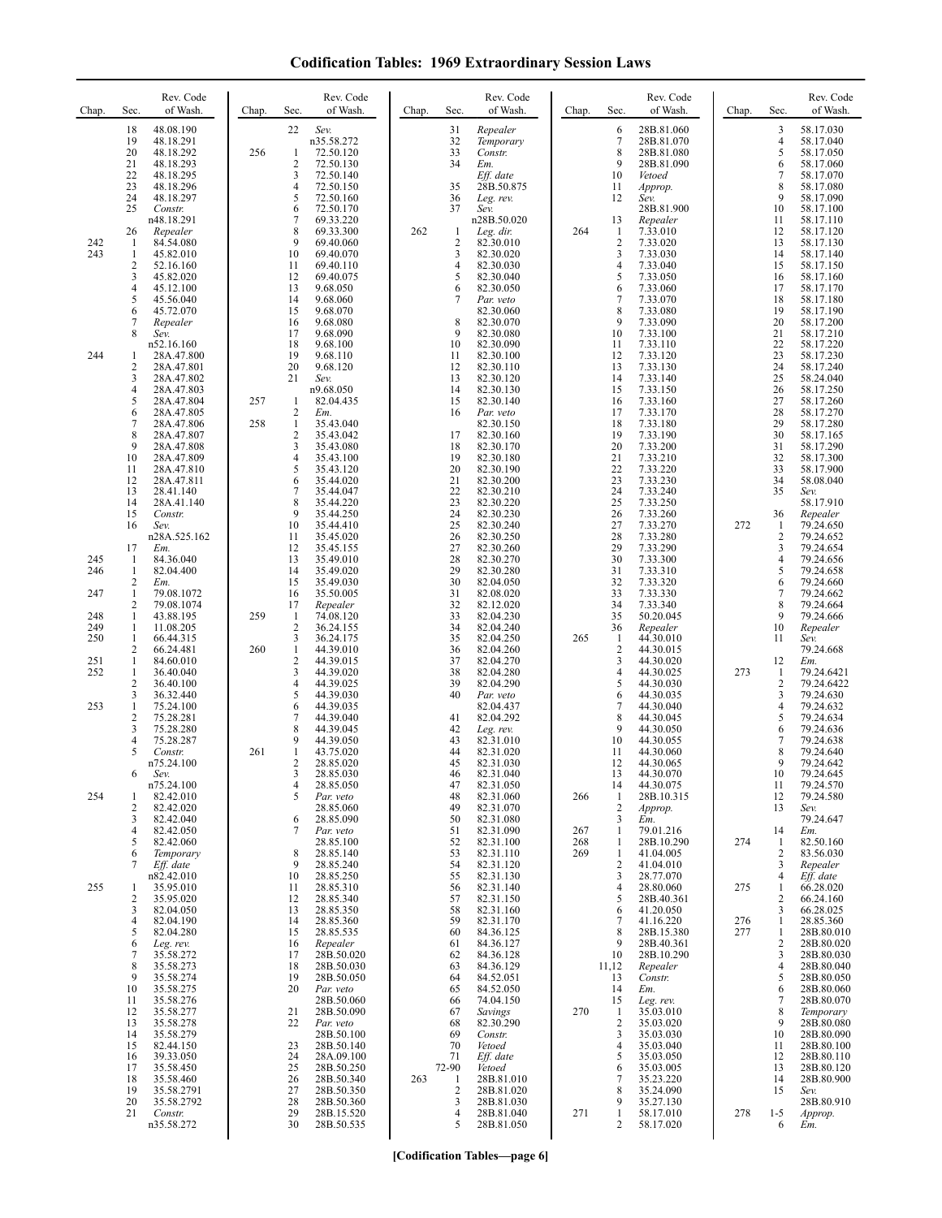| <b>Codification Tables: 1969 Extraordinary Session Laws</b> |  |  |  |  |
|-------------------------------------------------------------|--|--|--|--|
|-------------------------------------------------------------|--|--|--|--|

| Chap.                                  | Rev. Code<br>of Wash.<br>Sec.                                                                                                                                                                                                                                                                                                                                                               | Chap.      | Rev. Code<br>of Wash.<br>Sec.                                                                                                                                                                                                                                                                                                                                                                                   | Chap. | Rev. Code<br>of Wash.<br>Sec.                                                                                                                                                                                                                                                                                                                                                                                   | Chap.             | Rev. Code<br>of Wash.<br>Sec.                                                                                                                                                                                                                                                                                                                                                                                                | Chap.             | Sec.                                                                                                                                                       | Rev. Code<br>of Wash.                                                                                                                                                                                                                                                                     |
|----------------------------------------|---------------------------------------------------------------------------------------------------------------------------------------------------------------------------------------------------------------------------------------------------------------------------------------------------------------------------------------------------------------------------------------------|------------|-----------------------------------------------------------------------------------------------------------------------------------------------------------------------------------------------------------------------------------------------------------------------------------------------------------------------------------------------------------------------------------------------------------------|-------|-----------------------------------------------------------------------------------------------------------------------------------------------------------------------------------------------------------------------------------------------------------------------------------------------------------------------------------------------------------------------------------------------------------------|-------------------|------------------------------------------------------------------------------------------------------------------------------------------------------------------------------------------------------------------------------------------------------------------------------------------------------------------------------------------------------------------------------------------------------------------------------|-------------------|------------------------------------------------------------------------------------------------------------------------------------------------------------|-------------------------------------------------------------------------------------------------------------------------------------------------------------------------------------------------------------------------------------------------------------------------------------------|
| 242<br>243                             | 18<br>48.08.190<br>19<br>48.18.291<br>20<br>48.18.292<br>21<br>48.18.293<br>22<br>48.18.295<br>23<br>48.18.296<br>24<br>48.18.297<br>25<br>Constr.<br>n48.18.291<br>26<br>Repealer<br>84.54.080<br>1<br>45.82.010<br>1<br>$\overline{\mathbf{c}}$<br>52.16.160<br>3<br>45.82.020<br>4<br>45.12.100<br>5<br>45.56.040                                                                        | 256        | 22<br>Sev.<br>n35.58.272<br>72.50.120<br>1<br>$\overline{2}$<br>72.50.130<br>3<br>72.50.140<br>$\overline{4}$<br>72.50.150<br>5<br>72.50.160<br>72.50.170<br>6<br>7<br>69.33.220<br>8<br>69.33.300<br>9<br>69.40.060<br>10<br>69.40.070<br>11<br>69.40.110<br>12<br>69.40.075<br>13<br>9.68.050<br>14<br>9.68.060                                                                                               | 262   | Repealer<br>31<br>32<br>Temporary<br>33<br>Constr.<br>34<br>Em.<br>Eff. date<br>35<br>28B.50.875<br>36<br>Leg. rev.<br>37<br>Sev.<br>n28B.50.020<br>Leg. dir.<br>-1<br>$\overline{2}$<br>82.30.010<br>3<br>82.30.020<br>4<br>82.30.030<br>5<br>82.30.040<br>82.30.050<br>6<br>7<br>Par. veto                                                                                                                    | 264               | 6<br>28B.81.060<br>$\tau$<br>28B.81.070<br>8<br>28B.81.080<br>9<br>28B.81.090<br>10<br>Vetoed<br>11<br>Approp.<br>12<br>Sev.<br>28B.81.900<br>13<br>Repealer<br>7.33.010<br>1<br>$\overline{\mathbf{c}}$<br>7.33.020<br>3<br>7.33.030<br>4<br>7.33.040<br>5<br>7.33.050<br>6<br>7.33.060<br>$\overline{7}$<br>7.33.070                                                                                                       |                   | 3<br>4<br>5<br>6<br>7<br>8<br>9<br>10<br>11<br>12<br>13<br>14<br>15<br>16<br>17<br>18                                                                      | 58.17.030<br>58.17.040<br>58.17.050<br>58.17.060<br>58.17.070<br>58.17.080<br>58.17.090<br>58.17.100<br>58.17.110<br>58.17.120<br>58.17.130<br>58.17.140<br>58.17.150<br>58.17.160<br>58.17.170<br>58.17.180                                                                              |
| 244                                    | 6<br>45.72.070<br>7<br>Repealer<br>8<br>Sev.<br>n52.16.160<br>28A.47.800<br>1<br>2<br>28A.47.801<br>3<br>28A.47.802<br>28A.47.803<br>4<br>5<br>28A.47.804<br>6<br>28A.47.805<br>7<br>28A.47.806<br>8<br>28A.47.807<br>9<br>28A.47.808<br>28A.47.809<br>10<br>11<br>28A.47.810<br>12<br>28A.47.811<br>13<br>28.41.140<br>14<br>28A.41.140<br>15<br>Constr.<br>16<br>Sev.<br>n28A.525.162     | 257<br>258 | 15<br>9.68.070<br>16<br>9.68.080<br>17<br>9.68.090<br>18<br>9.68.100<br>19<br>9.68.110<br>20<br>9.68.120<br>21<br>Sev.<br>n9.68.050<br>82.04.435<br>-1<br>$\overline{2}$<br>Em.<br>$\mathbf{1}$<br>35.43.040<br>$\overline{2}$<br>35.43.042<br>3<br>35.43.080<br>4<br>35.43.100<br>5<br>35.43.120<br>6<br>35.44.020<br>7<br>35.44.047<br>8<br>35.44.220<br>9<br>35.44.250<br>10<br>35.44.410<br>11<br>35.45.020 |       | 82.30.060<br>8<br>82.30.070<br>9<br>82.30.080<br>10<br>82.30.090<br>82.30.100<br>11<br>12<br>82.30.110<br>13<br>82.30.120<br>14<br>82.30.130<br>15<br>82.30.140<br>16<br>Par. veto<br>82.30.150<br>17<br>82.30.160<br>18<br>82.30.170<br>19<br>82.30.180<br>20<br>82.30.190<br>21<br>82.30.200<br>22<br>82.30.210<br>23<br>82.30.220<br>24<br>82.30.230<br>25<br>82.30.240<br>26<br>82.30.250                   |                   | 8<br>7.33.080<br>9<br>7.33.090<br>10<br>7.33.100<br>11<br>7.33.110<br>12<br>7.33.120<br>13<br>7.33.130<br>14<br>7.33.140<br>15<br>7.33.150<br>16<br>7.33.160<br>7.33.170<br>17<br>18<br>7.33.180<br>19<br>7.33.190<br>20<br>7.33.200<br>21<br>7.33.210<br>22<br>7.33.220<br>23<br>7.33.230<br>24<br>7.33.240<br>25<br>7.33.250<br>26<br>7.33.260<br>27<br>7.33.270<br>28<br>7.33.280                                         | 272               | 19<br>20<br>21<br>22<br>23<br>24<br>25<br>26<br>27<br>28<br>29<br>30<br>31<br>32<br>33<br>34<br>35<br>36<br>-1<br>2                                        | 58.17.190<br>58.17.200<br>58.17.210<br>58.17.220<br>58.17.230<br>58.17.240<br>58.24.040<br>58.17.250<br>58.17.260<br>58.17.270<br>58.17.280<br>58.17.165<br>58.17.290<br>58.17.300<br>58.17.900<br>58.08.040<br>Sev.<br>58.17.910<br>Repealer<br>79.24.650<br>79.24.652                   |
| 245<br>246<br>247<br>248<br>249<br>250 | 17<br>Em.<br>84.36.040<br>-1<br>$\mathbf{1}$<br>82.04.400<br>2<br>Em.<br>$\mathbf{1}$<br>79.08.1072<br>2<br>79.08.1074<br>$\mathbf{1}$<br>43.88.195<br>1<br>11.08.205<br>1<br>66.44.315                                                                                                                                                                                                     | 259        | 12<br>35.45.155<br>13<br>35.49.010<br>14<br>35.49.020<br>15<br>35.49.030<br>16<br>35.50.005<br>17<br>Repealer<br>74.08.120<br>-1<br>$\overline{2}$<br>36.24.155<br>3<br>36.24.175                                                                                                                                                                                                                               |       | 27<br>82.30.260<br>28<br>82.30.270<br>29<br>82.30.280<br>30<br>82.04.050<br>31<br>82.08.020<br>32<br>82.12.020<br>33<br>82.04.230<br>34<br>82.04.240<br>35<br>82.04.250                                                                                                                                                                                                                                         | 265               | 29<br>7.33.290<br>30<br>7.33.300<br>31<br>7.33.310<br>32<br>7.33.320<br>33<br>7.33.330<br>34<br>7.33.340<br>35<br>50.20.045<br>36<br>Repealer<br>44.30.010<br>1                                                                                                                                                                                                                                                              |                   | 3<br>4<br>5<br>6<br>7<br>8<br>9<br>10<br>11                                                                                                                | 79.24.654<br>79.24.656<br>79.24.658<br>79.24.660<br>79.24.662<br>79.24.664<br>79.24.666<br>Repealer<br>Sev.                                                                                                                                                                               |
| 251<br>252<br>253                      | 2<br>66.24.481<br>84.60.010<br>$\mathbf{1}$<br>36.40.040<br>1<br>2<br>36.40.100<br>3<br>36.32.440<br>75.24.100<br>1<br>$\overline{\mathbf{c}}$<br>75.28.281<br>3<br>75.28.280<br>4<br>75.28.287                                                                                                                                                                                             | 260        | $\mathbf{1}$<br>44.39.010<br>$\overline{c}$<br>44.39.015<br>3<br>44.39.020<br>4<br>44.39.025<br>5<br>44.39.030<br>6<br>44.39.035<br>$\overline{7}$<br>44.39.040<br>8<br>44.39.045<br>9<br>44.39.050                                                                                                                                                                                                             |       | 36<br>82.04.260<br>37<br>82.04.270<br>38<br>82.04.280<br>39<br>82.04.290<br>40<br>Par. veto<br>82.04.437<br>82.04.292<br>41<br>42<br>Leg. rev.<br>82.31.010<br>43                                                                                                                                                                                                                                               |                   | 2<br>44.30.015<br>3<br>44.30.020<br>4<br>44.30.025<br>5<br>44.30.030<br>6<br>44.30.035<br>7<br>44.30.040<br>8<br>44.30.045<br>9<br>44.30.050<br>10<br>44.30.055                                                                                                                                                                                                                                                              | 273               | 12<br>1<br>2<br>3<br>4<br>5<br>6<br>7                                                                                                                      | 79.24.668<br>Em.<br>79.24.6421<br>79.24.6422<br>79.24.630<br>79.24.632<br>79.24.634<br>79.24.636<br>79.24.638                                                                                                                                                                             |
| 254                                    | 5<br>Constr.<br>n75.24.100<br>6<br>Sev.<br>n75.24.100<br>82.42.010<br>1<br>2<br>82.42.020<br>3<br>82.42.040<br>82.42.050<br>4<br>5<br>82.42.060                                                                                                                                                                                                                                             | 261        | 1<br>43.75.020<br>2<br>28.85.020<br>3<br>28.85.030<br>4<br>28.85.050<br>5<br>Par. veto<br>28.85.060<br>28.85.090<br>6<br>7<br>Par. veto<br>28.85.100                                                                                                                                                                                                                                                            |       | 44<br>82.31.020<br>45<br>82.31.030<br>46<br>82.31.040<br>47<br>82.31.050<br>48<br>82.31.060<br>82.31.070<br>49<br>82.31.080<br>50<br>51<br>82.31.090<br>82.31.100<br>52                                                                                                                                                                                                                                         | 266<br>267<br>268 | 11<br>44.30.060<br>12<br>44.30.065<br>13<br>44.30.070<br>14<br>44.30.075<br>28B.10.315<br>1<br>$\overline{c}$<br>Approp.<br>3<br>Em.<br>79.01.216<br>1<br>28B.10.290<br>1                                                                                                                                                                                                                                                    | 274               | 8<br>9<br>10<br>11<br>12<br>13<br>14<br>-1                                                                                                                 | 79.24.640<br>79.24.642<br>79.24.645<br>79.24.570<br>79.24.580<br>Sev.<br>79.24.647<br>Em.<br>82.50.160                                                                                                                                                                                    |
| 255                                    | 6<br>Temporary<br>Eff. date<br>7<br>n82.42.010<br>35.95.010<br>1<br>2<br>35.95.020<br>82.04.050<br>3<br>4<br>82.04.190<br>82.04.280<br>5<br>6<br>Leg. rev.<br>7<br>35.58.272<br>8<br>35.58.273<br>9<br>35.58.274<br>35.58.275<br>10<br>35.58.276<br>11<br>35.58.277<br>12<br>13<br>35.58.278<br>14<br>35.58.279<br>82.44.150<br>15<br>39.33.050<br>16<br>35.58.450<br>17<br>18<br>35.58.460 |            | 8<br>28.85.140<br>28.85.240<br>9<br>10<br>28.85.250<br>28.85.310<br>11<br>12<br>28.85.340<br>13<br>28.85.350<br>14<br>28.85.360<br>15<br>28.85.535<br>16<br>Repealer<br>17<br>28B.50.020<br>18<br>28B.50.030<br>19<br>28B.50.050<br>20<br>Par. veto<br>28B.50.060<br>21<br>28B.50.090<br>22<br>Par. veto<br>28B.50.100<br>23<br>28B.50.140<br>24<br>28A.09.100<br>25<br>28B.50.250<br>26<br>28B.50.340          | 263   | 53<br>82.31.110<br>82.31.120<br>54<br>55<br>82.31.130<br>82.31.140<br>56<br>57<br>82.31.150<br>82.31.160<br>58<br>59<br>82.31.170<br>84.36.125<br>60<br>84.36.127<br>61<br>84.36.128<br>62<br>84.36.129<br>63<br>84.52.051<br>64<br>84.52.050<br>65<br>74.04.150<br>66<br>67<br>Savings<br>68<br>82.30.290<br>Constr.<br>69<br>70<br>Vetoed<br>71<br>Eff. date<br>72-90<br>Vetoed<br>28B.81.010<br>$\mathbf{1}$ | 269<br>270        | 1<br>41.04.005<br>$\overline{c}$<br>41.04.010<br>3<br>28.77.070<br>28.80.060<br>4<br>5<br>28B.40.361<br>41.20.050<br>6<br>7<br>41.16.220<br>28B.15.380<br>8<br>9<br>28B.40.361<br>10<br>28B.10.290<br>11,12<br>Repealer<br>13<br>Constr.<br>14<br>Em.<br>15<br>Leg. rev.<br>35.03.010<br>1<br>$\overline{\mathbf{c}}$<br>35.03.020<br>35.03.030<br>3<br>35.03.040<br>4<br>5<br>35.03.050<br>35.03.005<br>6<br>7<br>35.23.220 | 275<br>276<br>277 | 2<br>3<br>$\overline{4}$<br>$\mathbf{1}$<br>2<br>3<br>$\mathbf{1}$<br>1<br>2<br>3<br>$\overline{4}$<br>5<br>6<br>7<br>8<br>9<br>10<br>11<br>12<br>13<br>14 | 83.56.030<br>Repealer<br>Eff. date<br>66.28.020<br>66.24.160<br>66.28.025<br>28.85.360<br>28B.80.010<br>28B.80.020<br>28B.80.030<br>28B.80.040<br>28B.80.050<br>28B.80.060<br>28B.80.070<br>Temporary<br>28B.80.080<br>28B.80.090<br>28B.80.100<br>28B.80.110<br>28B.80.120<br>28B.80.900 |
|                                        | 19<br>35.58.2791<br>20<br>35.58.2792<br>21<br>Constr.<br>n35.58.272                                                                                                                                                                                                                                                                                                                         |            | 27<br>28B.50.350<br>28<br>28B.50.360<br>29<br>28B.15.520<br>30<br>28B.50.535                                                                                                                                                                                                                                                                                                                                    |       | $\overline{2}$<br>28B.81.020<br>3<br>28B.81.030<br>28B.81.040<br>4<br>5<br>28B.81.050                                                                                                                                                                                                                                                                                                                           | 271               | 35.24.090<br>8<br>9<br>35.27.130<br>58.17.010<br>1<br>2<br>58.17.020                                                                                                                                                                                                                                                                                                                                                         | 278               | 15<br>$1 - 5$<br>6                                                                                                                                         | Sev.<br>28B.80.910<br>Approp.<br>Em.                                                                                                                                                                                                                                                      |

**[Codification Tables—page 6]**